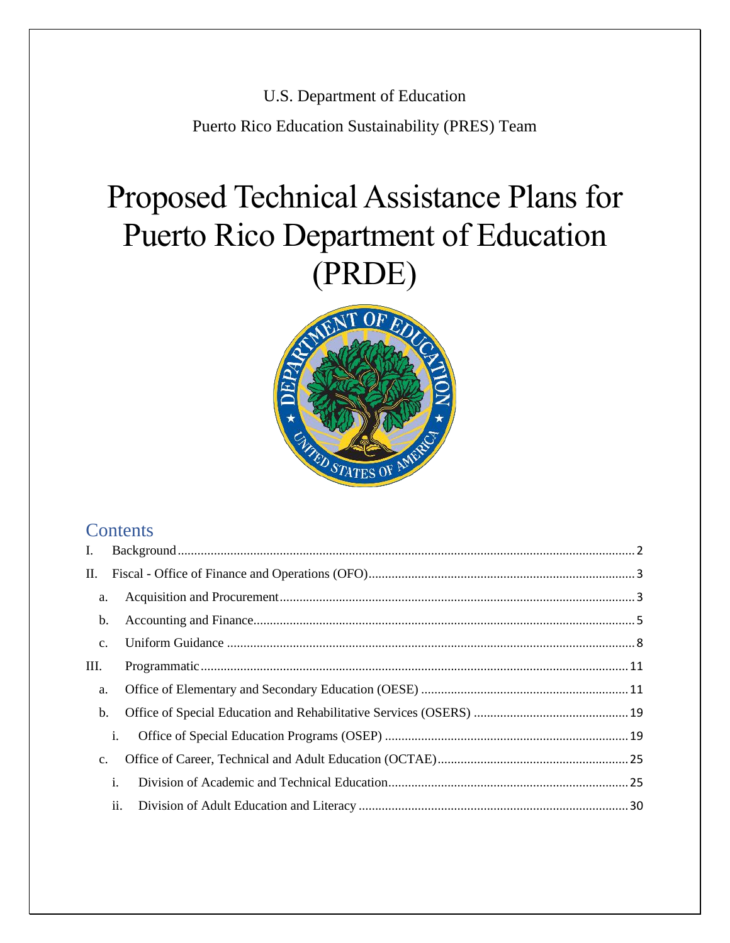U.S. Department of Education

Puerto Rico Education Sustainability (PRES) Team

# Proposed Technical Assistance Plans for Puerto Rico Department of Education (PRDE)



### **Contents**

| Ι.             |                |  |
|----------------|----------------|--|
| П.             |                |  |
| a.             |                |  |
| b.             |                |  |
| $\mathbf{C}$ . |                |  |
| III.           |                |  |
| a.             |                |  |
| b.             |                |  |
|                | i.             |  |
| $\mathbf{C}$ . |                |  |
|                | $\mathbf{i}$ . |  |
|                | ii.            |  |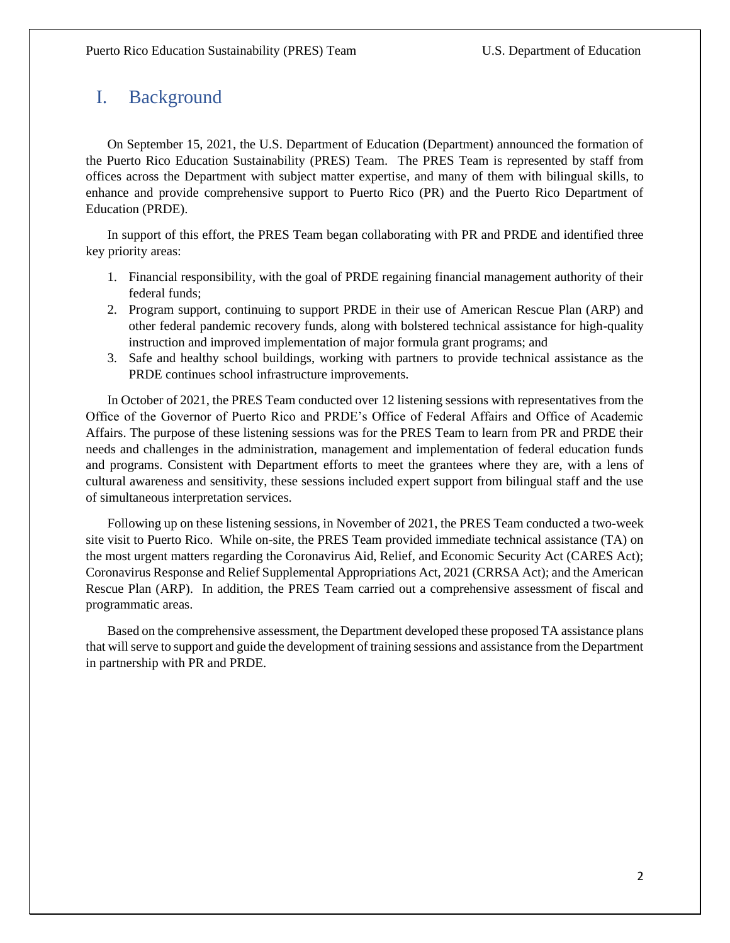### <span id="page-1-0"></span>I. Background

On September 15, 2021, the U.S. Department of Education (Department) announced the formation of the Puerto Rico Education Sustainability (PRES) Team. The PRES Team is represented by staff from offices across the Department with subject matter expertise, and many of them with bilingual skills, to enhance and provide comprehensive support to Puerto Rico (PR) and the Puerto Rico Department of Education (PRDE).

In support of this effort, the PRES Team began collaborating with PR and PRDE and identified three key priority areas:

- 1. Financial responsibility, with the goal of PRDE regaining financial management authority of their federal funds;
- 2. Program support, continuing to support PRDE in their use of American Rescue Plan (ARP) and other federal pandemic recovery funds, along with bolstered technical assistance for high-quality instruction and improved implementation of major formula grant programs; and
- 3. Safe and healthy school buildings, working with partners to provide technical assistance as the PRDE continues school infrastructure improvements.

In October of 2021, the PRES Team conducted over 12 listening sessions with representatives from the Office of the Governor of Puerto Rico and PRDE's Office of Federal Affairs and Office of Academic Affairs. The purpose of these listening sessions was for the PRES Team to learn from PR and PRDE their needs and challenges in the administration, management and implementation of federal education funds and programs. Consistent with Department efforts to meet the grantees where they are, with a lens of cultural awareness and sensitivity, these sessions included expert support from bilingual staff and the use of simultaneous interpretation services.

Following up on these listening sessions, in November of 2021, the PRES Team conducted a two-week site visit to Puerto Rico. While on-site, the PRES Team provided immediate technical assistance (TA) on the most urgent matters regarding the Coronavirus Aid, Relief, and Economic Security Act (CARES Act); Coronavirus Response and Relief Supplemental Appropriations Act, 2021 (CRRSA Act); and the American Rescue Plan (ARP). In addition, the PRES Team carried out a comprehensive assessment of fiscal and programmatic areas.

Based on the comprehensive assessment, the Department developed these proposed TA assistance plans that will serve to support and guide the development of training sessions and assistance from the Department in partnership with PR and PRDE.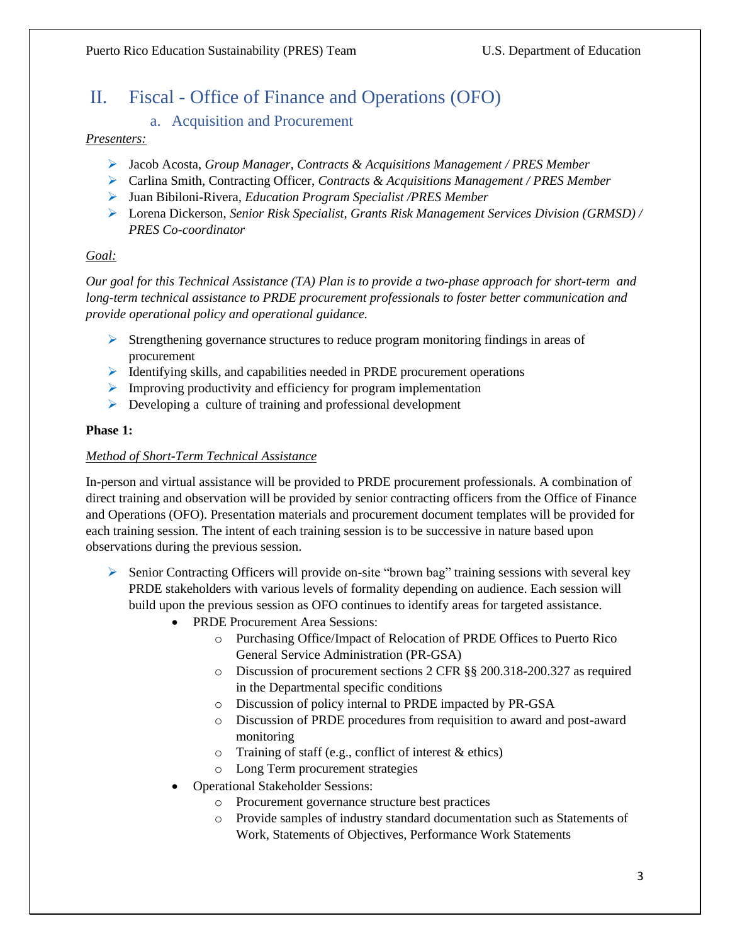### <span id="page-2-1"></span><span id="page-2-0"></span>II. Fiscal - Office of Finance and Operations (OFO)

#### a. Acquisition and Procurement

#### *Presenters:*

- ➢ Jacob Acosta, *Group Manager, Contracts & Acquisitions Management / PRES Member*
- ➢ Carlina Smith, Contracting Officer, *Contracts & Acquisitions Management / PRES Member*
- ➢ Juan Bibiloni-Rivera*, Education Program Specialist /PRES Member*
- ➢ Lorena Dickerson, *Senior Risk Specialist, Grants Risk Management Services Division (GRMSD) / PRES Co-coordinator*

#### *Goal:*

*Our goal for this Technical Assistance (TA) Plan is to provide a two-phase approach for short-term and long-term technical assistance to PRDE procurement professionals to foster better communication and provide operational policy and operational guidance.* 

- $\triangleright$  Strengthening governance structures to reduce program monitoring findings in areas of procurement
- ➢ Identifying skills, and capabilities needed in PRDE procurement operations
- $\triangleright$  Improving productivity and efficiency for program implementation
- ➢ Developing a culture of training and professional development

#### **Phase 1:**

#### *Method of Short-Term Technical Assistance*

In-person and virtual assistance will be provided to PRDE procurement professionals. A combination of direct training and observation will be provided by senior contracting officers from the Office of Finance and Operations (OFO). Presentation materials and procurement document templates will be provided for each training session. The intent of each training session is to be successive in nature based upon observations during the previous session.

- $\triangleright$  Senior Contracting Officers will provide on-site "brown bag" training sessions with several key PRDE stakeholders with various levels of formality depending on audience. Each session will build upon the previous session as OFO continues to identify areas for targeted assistance.
	- PRDE Procurement Area Sessions:
		- o Purchasing Office/Impact of Relocation of PRDE Offices to Puerto Rico General Service Administration (PR-GSA)
		- o Discussion of procurement sections 2 CFR §§ 200.318-200.327 as required in the Departmental specific conditions
		- o Discussion of policy internal to PRDE impacted by PR-GSA
		- o Discussion of PRDE procedures from requisition to award and post-award monitoring
		- o Training of staff (e.g., conflict of interest & ethics)
		- o Long Term procurement strategies
	- Operational Stakeholder Sessions:
		- o Procurement governance structure best practices
		- o Provide samples of industry standard documentation such as Statements of Work, Statements of Objectives, Performance Work Statements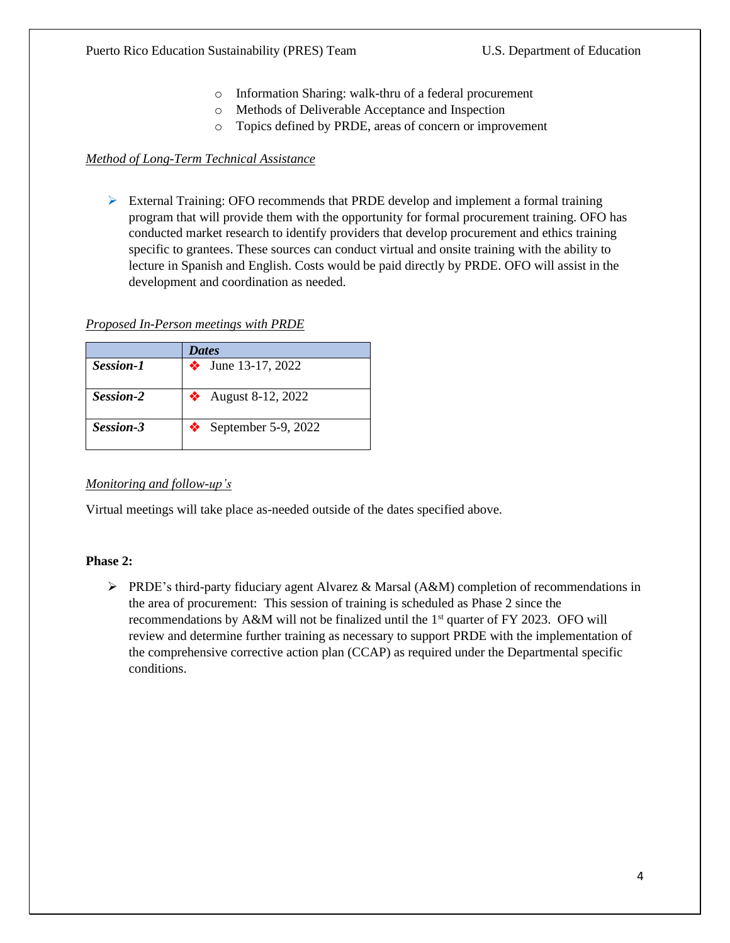- o Information Sharing: walk-thru of a federal procurement
- o Methods of Deliverable Acceptance and Inspection
- o Topics defined by PRDE, areas of concern or improvement

#### *Method of Long-Term Technical Assistance*

 $\triangleright$  External Training: OFO recommends that PRDE develop and implement a formal training program that will provide them with the opportunity for formal procurement training. OFO has conducted market research to identify providers that develop procurement and ethics training specific to grantees. These sources can conduct virtual and onsite training with the ability to lecture in Spanish and English. Costs would be paid directly by PRDE. OFO will assist in the development and coordination as needed.

#### *Proposed In-Person meetings with PRDE*

|           | <b>Dates</b>        |
|-----------|---------------------|
| Session-1 | • June 13-17, 2022  |
| Session-2 | August 8-12, 2022   |
| Session-3 | September 5-9, 2022 |

#### *Monitoring and follow-up's*

Virtual meetings will take place as-needed outside of the dates specified above.

#### **Phase 2:**

 $\triangleright$  PRDE's third-party fiduciary agent Alvarez & Marsal (A&M) completion of recommendations in the area of procurement: This session of training is scheduled as Phase 2 since the recommendations by A&M will not be finalized until the  $1<sup>st</sup>$  quarter of FY 2023. OFO will review and determine further training as necessary to support PRDE with the implementation of the comprehensive corrective action plan (CCAP) as required under the Departmental specific conditions.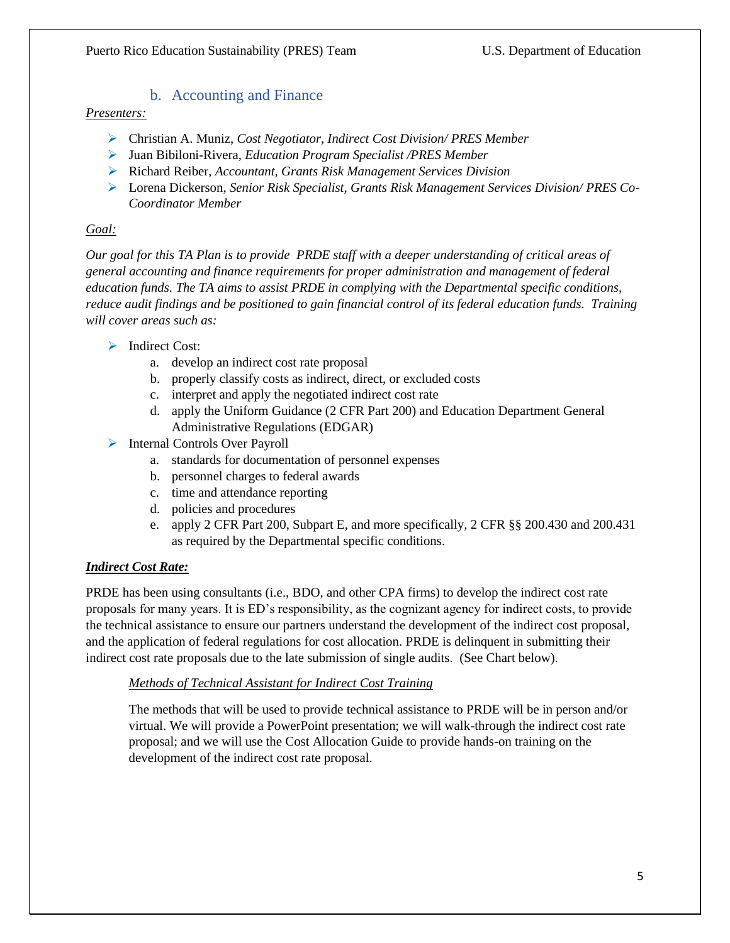#### b. Accounting and Finance

#### <span id="page-4-0"></span>*Presenters:*

- ➢ Christian A. Muniz, *Cost Negotiator, Indirect Cost Division/ PRES Member*
- ➢ Juan Bibiloni-Rivera*, Education Program Specialist /PRES Member*
- ➢ Richard Reiber, *Accountant, Grants Risk Management Services Division*
- ➢ Lorena Dickerson, *Senior Risk Specialist, Grants Risk Management Services Division/ PRES Co-Coordinator Member*

#### *Goal:*

*Our goal for this TA Plan is to provide PRDE staff with a deeper understanding of critical areas of general accounting and finance requirements for proper administration and management of federal education funds. The TA aims to assist PRDE in complying with the Departmental specific conditions, reduce audit findings and be positioned to gain financial control of its federal education funds. Training will cover areas such as:* 

- ➢ Indirect Cost:
	- a. develop an indirect cost rate proposal
	- b. properly classify costs as indirect, direct, or excluded costs
	- c. interpret and apply the negotiated indirect cost rate
	- d. apply the Uniform Guidance (2 CFR Part 200) and Education Department General Administrative Regulations (EDGAR)
- ➢ Internal Controls Over Payroll
	- a. standards for documentation of personnel expenses
	- b. personnel charges to federal awards
	- c. time and attendance reporting
	- d. policies and procedures
	- e. apply 2 CFR Part 200, Subpart E, and more specifically, 2 CFR §§ 200.430 and 200.431 as required by the Departmental specific conditions.

#### *Indirect Cost Rate:*

PRDE has been using consultants (i.e., BDO, and other CPA firms) to develop the indirect cost rate proposals for many years. It is ED's responsibility, as the cognizant agency for indirect costs, to provide the technical assistance to ensure our partners understand the development of the indirect cost proposal, and the application of federal regulations for cost allocation. PRDE is delinquent in submitting their indirect cost rate proposals due to the late submission of single audits. (See Chart below).

#### *Methods of Technical Assistant for Indirect Cost Training*

The methods that will be used to provide technical assistance to PRDE will be in person and/or virtual. We will provide a PowerPoint presentation; we will walk-through the indirect cost rate proposal; and we will use the Cost Allocation Guide to provide hands-on training on the development of the indirect cost rate proposal.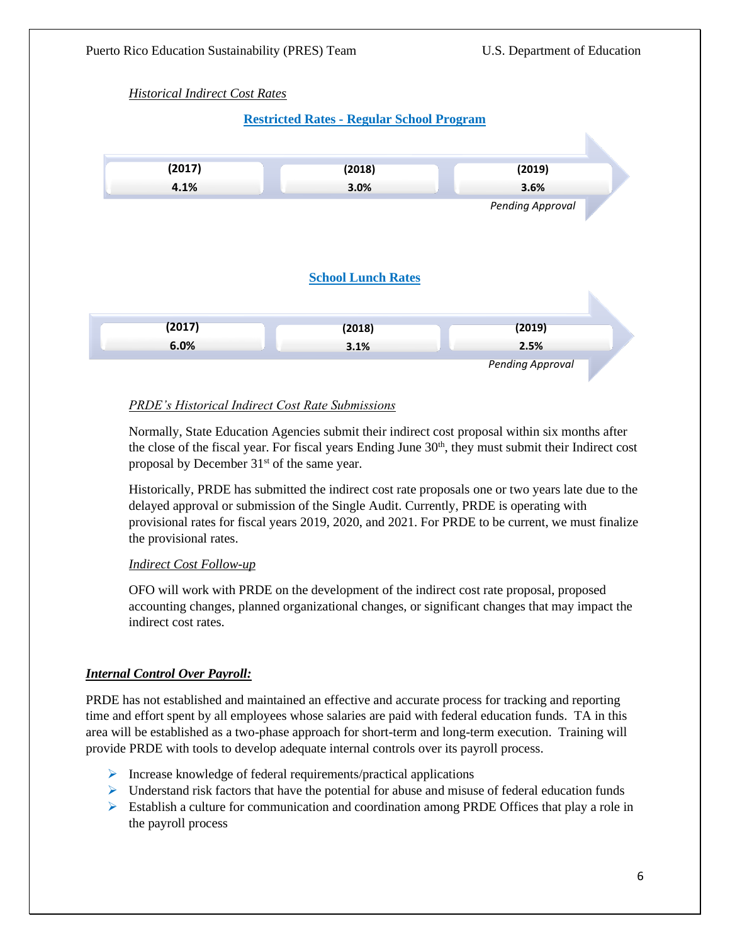

#### *PRDE's Historical Indirect Cost Rate Submissions*

Normally, State Education Agencies submit their indirect cost proposal within six months after the close of the fiscal year. For fiscal years Ending June 30<sup>th</sup>, they must submit their Indirect cost proposal by December 31<sup>st</sup> of the same year.

Historically, PRDE has submitted the indirect cost rate proposals one or two years late due to the delayed approval or submission of the Single Audit. Currently, PRDE is operating with provisional rates for fiscal years 2019, 2020, and 2021. For PRDE to be current, we must finalize the provisional rates.

#### *Indirect Cost Follow-up*

OFO will work with PRDE on the development of the indirect cost rate proposal, proposed accounting changes, planned organizational changes, or significant changes that may impact the indirect cost rates.

#### *Internal Control Over Payroll:*

PRDE has not established and maintained an effective and accurate process for tracking and reporting time and effort spent by all employees whose salaries are paid with federal education funds. TA in this area will be established as a two-phase approach for short-term and long-term execution. Training will provide PRDE with tools to develop adequate internal controls over its payroll process.

- $\triangleright$  Increase knowledge of federal requirements/practical applications
- $\triangleright$  Understand risk factors that have the potential for abuse and misuse of federal education funds
- $\triangleright$  Establish a culture for communication and coordination among PRDE Offices that play a role in the payroll process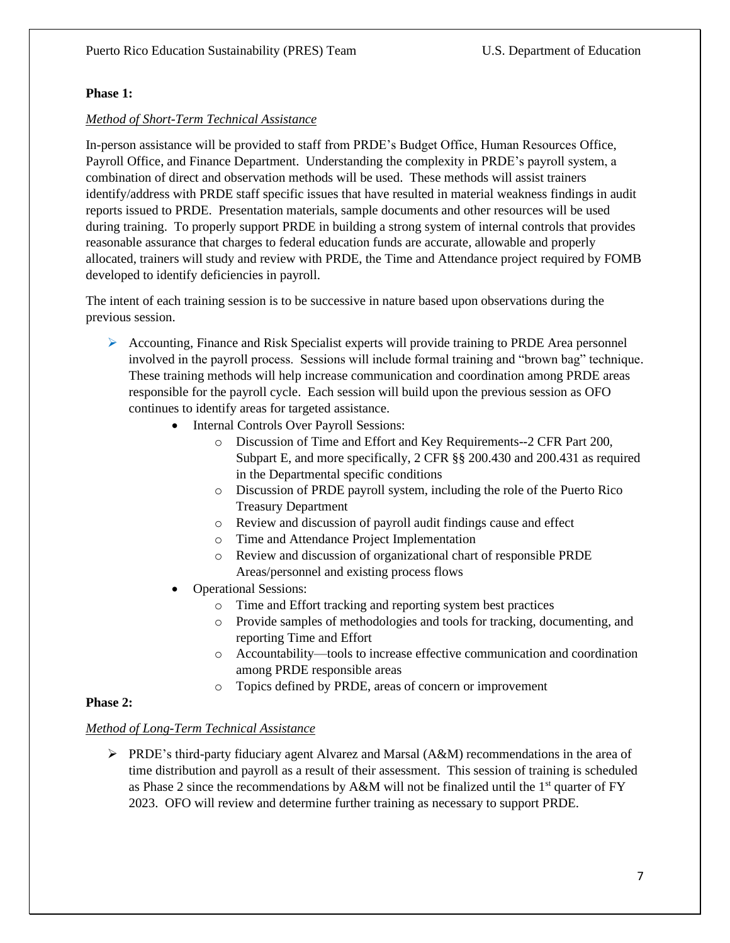#### **Phase 1:**

#### *Method of Short-Term Technical Assistance*

In-person assistance will be provided to staff from PRDE's Budget Office, Human Resources Office, Payroll Office, and Finance Department. Understanding the complexity in PRDE's payroll system, a combination of direct and observation methods will be used. These methods will assist trainers identify/address with PRDE staff specific issues that have resulted in material weakness findings in audit reports issued to PRDE. Presentation materials, sample documents and other resources will be used during training. To properly support PRDE in building a strong system of internal controls that provides reasonable assurance that charges to federal education funds are accurate, allowable and properly allocated, trainers will study and review with PRDE, the Time and Attendance project required by FOMB developed to identify deficiencies in payroll.

The intent of each training session is to be successive in nature based upon observations during the previous session.

- ➢ Accounting, Finance and Risk Specialist experts will provide training to PRDE Area personnel involved in the payroll process. Sessions will include formal training and "brown bag" technique. These training methods will help increase communication and coordination among PRDE areas responsible for the payroll cycle. Each session will build upon the previous session as OFO continues to identify areas for targeted assistance.
	- Internal Controls Over Payroll Sessions:
		- o Discussion of Time and Effort and Key Requirements--2 CFR Part 200, Subpart E, and more specifically, 2 CFR §§ 200.430 and 200.431 as required in the Departmental specific conditions
		- o Discussion of PRDE payroll system, including the role of the Puerto Rico Treasury Department
		- o Review and discussion of payroll audit findings cause and effect
		- o Time and Attendance Project Implementation
		- o Review and discussion of organizational chart of responsible PRDE Areas/personnel and existing process flows
	- Operational Sessions:
		- o Time and Effort tracking and reporting system best practices
		- o Provide samples of methodologies and tools for tracking, documenting, and reporting Time and Effort
		- o Accountability—tools to increase effective communication and coordination among PRDE responsible areas
		- o Topics defined by PRDE, areas of concern or improvement

#### **Phase 2:**

#### *Method of Long-Term Technical Assistance*

➢ PRDE's third-party fiduciary agent Alvarez and Marsal (A&M) recommendations in the area of time distribution and payroll as a result of their assessment. This session of training is scheduled as Phase 2 since the recommendations by A&M will not be finalized until the  $1<sup>st</sup>$  quarter of FY 2023. OFO will review and determine further training as necessary to support PRDE.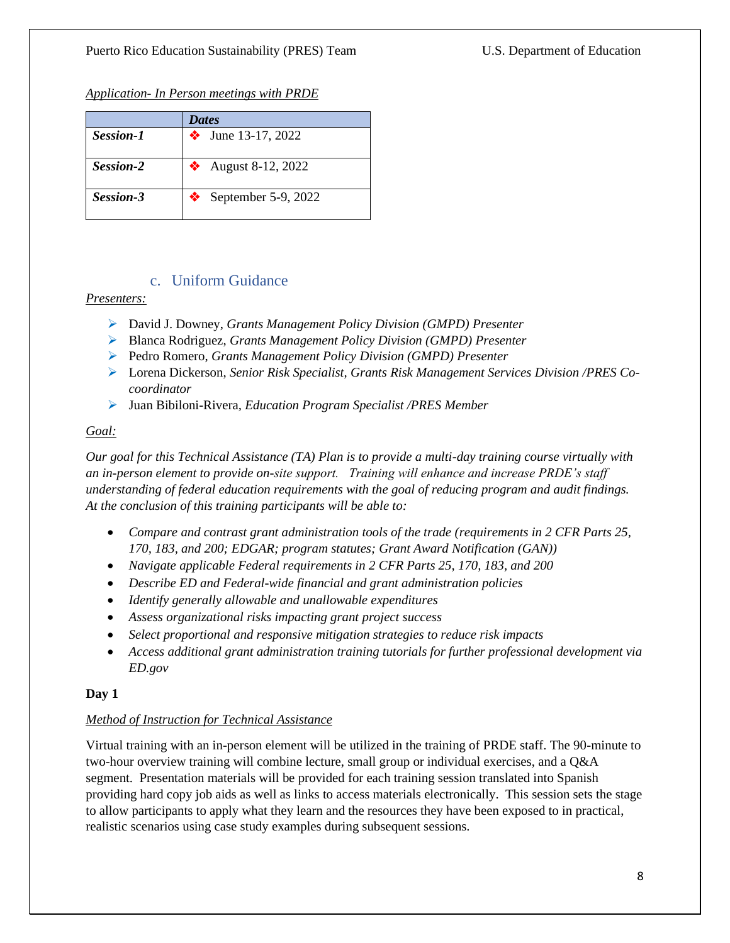*Application- In Person meetings with PRDE*

|                  | <b>Dates</b>        |
|------------------|---------------------|
| <b>Session-1</b> | • June 13-17, 2022  |
| Session-2        | • August 8-12, 2022 |
| Session-3        | September 5-9, 2022 |

#### c. Uniform Guidance

#### <span id="page-7-0"></span>*Presenters:*

- ➢ David J. Downey, *Grants Management Policy Division (GMPD) Presenter*
- ➢ Blanca Rodriguez, *Grants Management Policy Division (GMPD) Presenter*
- ➢ Pedro Romero, *Grants Management Policy Division (GMPD) Presenter*
- ➢ Lorena Dickerson, *Senior Risk Specialist, Grants Risk Management Services Division /PRES Cocoordinator*
- ➢ Juan Bibiloni-Rivera*, Education Program Specialist /PRES Member*

#### *Goal:*

*Our goal for this Technical Assistance (TA) Plan is to provide a multi-day training course virtually with an in-person element to provide on-site support. Training will enhance and increase PRDE's staff understanding of federal education requirements with the goal of reducing program and audit findings. At the conclusion of this training participants will be able to:*

- *Compare and contrast grant administration tools of the trade (requirements in 2 CFR Parts 25, 170, 183, and 200; EDGAR; program statutes; Grant Award Notification (GAN))*
- *Navigate applicable Federal requirements in 2 CFR Parts 25, 170, 183, and 200*
- *Describe ED and Federal-wide financial and grant administration policies*
- *Identify generally allowable and unallowable expenditures*
- *Assess organizational risks impacting grant project success*
- *Select proportional and responsive mitigation strategies to reduce risk impacts*
- *Access additional grant administration training tutorials for further professional development via ED.gov*

#### **Day 1**

#### *Method of Instruction for Technical Assistance*

Virtual training with an in-person element will be utilized in the training of PRDE staff. The 90-minute to two-hour overview training will combine lecture, small group or individual exercises, and a Q&A segment. Presentation materials will be provided for each training session translated into Spanish providing hard copy job aids as well as links to access materials electronically. This session sets the stage to allow participants to apply what they learn and the resources they have been exposed to in practical, realistic scenarios using case study examples during subsequent sessions.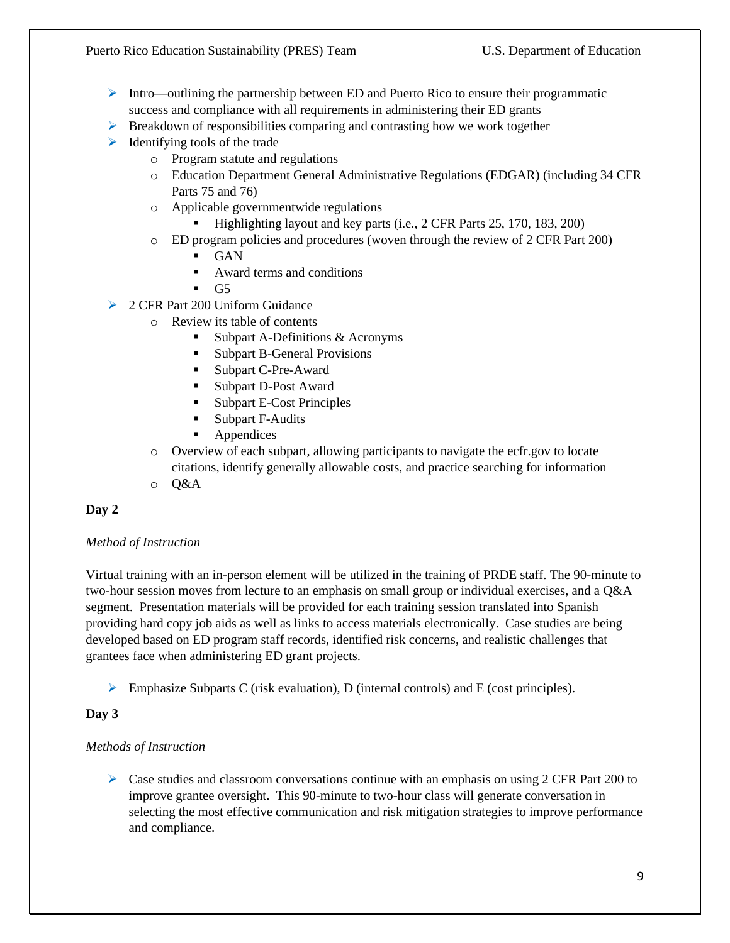- $\triangleright$  Intro—outlining the partnership between ED and Puerto Rico to ensure their programmatic success and compliance with all requirements in administering their ED grants
- $\triangleright$  Breakdown of responsibilities comparing and contrasting how we work together
- $\triangleright$  Identifying tools of the trade
	- o Program statute and regulations
	- o Education Department General Administrative Regulations (EDGAR) (including 34 CFR Parts 75 and 76)
	- o Applicable governmentwide regulations
		- Highlighting layout and key parts (i.e., 2 CFR Parts 25, 170, 183, 200)
	- o ED program policies and procedures (woven through the review of 2 CFR Part 200)
		- **GAN**
		- Award terms and conditions
		- $\blacksquare$  G5
- ➢ 2 CFR Part 200 Uniform Guidance
	- o Review its table of contents
		- Subpart A-Definitions  $&$  Acronyms
		- **Exercise Subpart B-General Provisions**
		- Subpart C-Pre-Award
		- Subpart D-Post Award
		- **Subpart E-Cost Principles**
		- **Subpart F-Audits**
		- Appendices
	- o Overview of each subpart, allowing participants to navigate the ecfr.gov to locate citations, identify generally allowable costs, and practice searching for information
	- o Q&A

#### **Day 2**

#### *Method of Instruction*

Virtual training with an in-person element will be utilized in the training of PRDE staff. The 90-minute to two-hour session moves from lecture to an emphasis on small group or individual exercises, and a Q&A segment. Presentation materials will be provided for each training session translated into Spanish providing hard copy job aids as well as links to access materials electronically. Case studies are being developed based on ED program staff records, identified risk concerns, and realistic challenges that grantees face when administering ED grant projects.

 $\triangleright$  Emphasize Subparts C (risk evaluation), D (internal controls) and E (cost principles).

#### **Day 3**

#### *Methods of Instruction*

 $\triangleright$  Case studies and classroom conversations continue with an emphasis on using 2 CFR Part 200 to improve grantee oversight. This 90-minute to two-hour class will generate conversation in selecting the most effective communication and risk mitigation strategies to improve performance and compliance.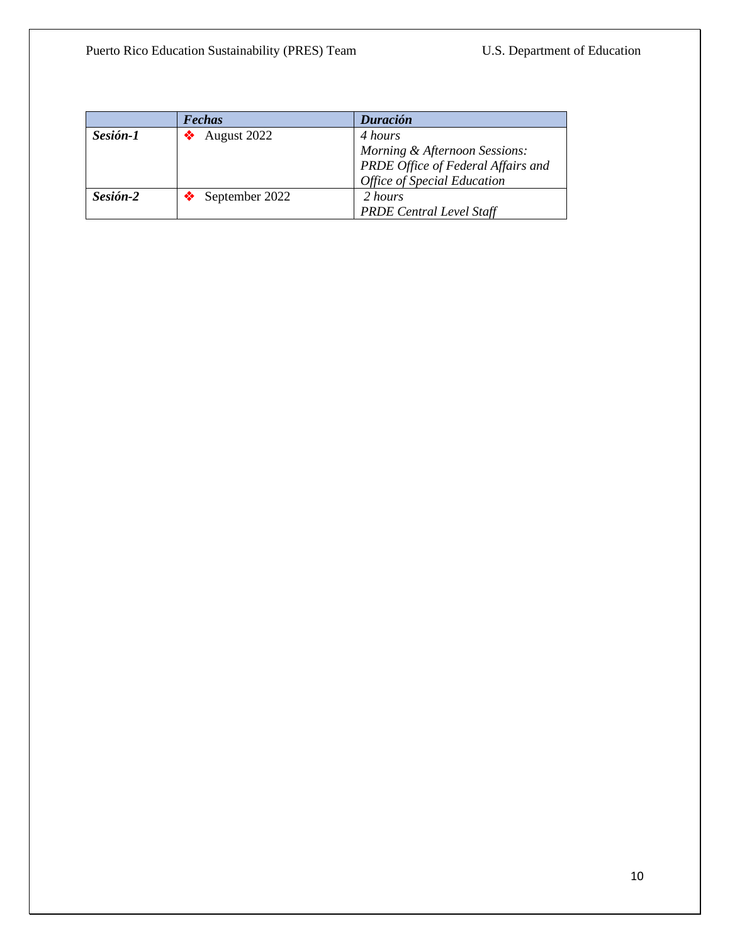|          | <b>Fechas</b>  | Duración                           |
|----------|----------------|------------------------------------|
| Sesión-1 | August 2022    | 4 hours                            |
|          |                | Morning & Afternoon Sessions:      |
|          |                | PRDE Office of Federal Affairs and |
|          |                | <b>Office of Special Education</b> |
| Sesión-2 | September 2022 | 2 hours                            |
|          |                | <b>PRDE Central Level Staff</b>    |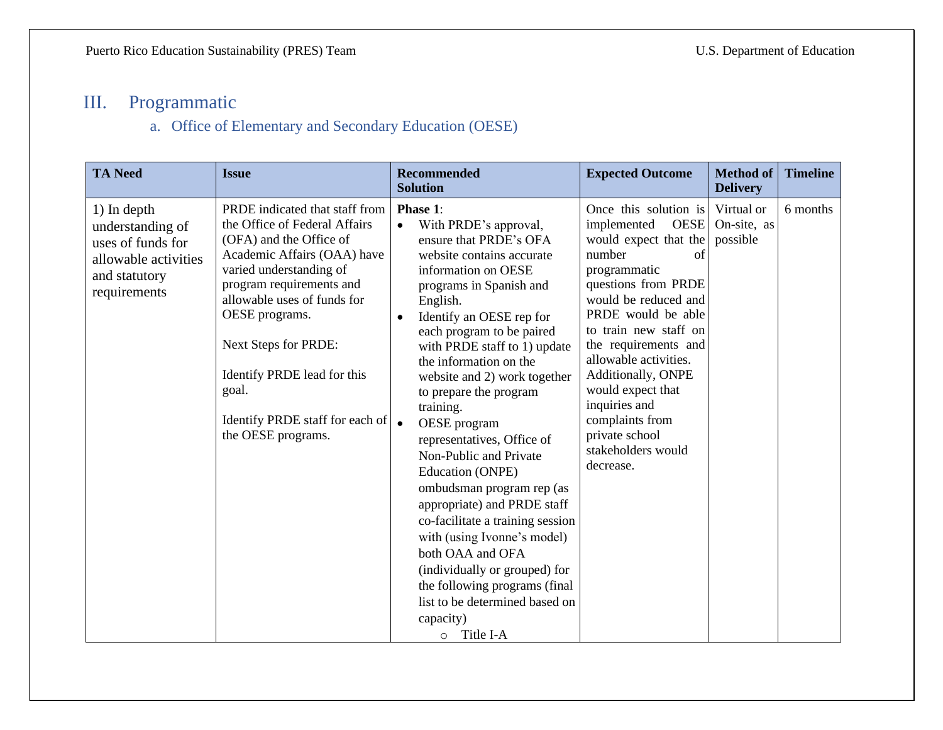## III. Programmatic

### a. Office of Elementary and Secondary Education (OESE)

<span id="page-10-1"></span><span id="page-10-0"></span>

| <b>TA Need</b>                                                                                                | <b>Issue</b>                                                                                                                                                                                                                                                                                                                                               | <b>Recommended</b><br><b>Solution</b>                                                                                                                                                                                                                                                                                                                                                                                                                                                                                                                                                                                                                                                                                                                 | <b>Expected Outcome</b>                                                                                                                                                                                                                                                                                                                                                                         | <b>Method of</b><br><b>Delivery</b>   | <b>Timeline</b> |
|---------------------------------------------------------------------------------------------------------------|------------------------------------------------------------------------------------------------------------------------------------------------------------------------------------------------------------------------------------------------------------------------------------------------------------------------------------------------------------|-------------------------------------------------------------------------------------------------------------------------------------------------------------------------------------------------------------------------------------------------------------------------------------------------------------------------------------------------------------------------------------------------------------------------------------------------------------------------------------------------------------------------------------------------------------------------------------------------------------------------------------------------------------------------------------------------------------------------------------------------------|-------------------------------------------------------------------------------------------------------------------------------------------------------------------------------------------------------------------------------------------------------------------------------------------------------------------------------------------------------------------------------------------------|---------------------------------------|-----------------|
| 1) In depth<br>understanding of<br>uses of funds for<br>allowable activities<br>and statutory<br>requirements | PRDE indicated that staff from<br>the Office of Federal Affairs<br>(OFA) and the Office of<br>Academic Affairs (OAA) have<br>varied understanding of<br>program requirements and<br>allowable uses of funds for<br>OESE programs.<br>Next Steps for PRDE:<br>Identify PRDE lead for this<br>goal.<br>Identify PRDE staff for each of<br>the OESE programs. | Phase 1:<br>With PRDE's approval,<br>ensure that PRDE's OFA<br>website contains accurate<br>information on OESE<br>programs in Spanish and<br>English.<br>Identify an OESE rep for<br>each program to be paired<br>with PRDE staff to 1) update<br>the information on the<br>website and 2) work together<br>to prepare the program<br>training.<br>$\bullet$<br>OESE program<br>representatives, Office of<br>Non-Public and Private<br>Education (ONPE)<br>ombudsman program rep (as<br>appropriate) and PRDE staff<br>co-facilitate a training session<br>with (using Ivonne's model)<br>both OAA and OFA<br>(individually or grouped) for<br>the following programs (final<br>list to be determined based on<br>capacity)<br>Title I-A<br>$\circ$ | Once this solution is<br><b>OESE</b><br>implemented<br>would expect that the<br>number<br>of<br>programmatic<br>questions from PRDE<br>would be reduced and<br>PRDE would be able<br>to train new staff on<br>the requirements and<br>allowable activities.<br>Additionally, ONPE<br>would expect that<br>inquiries and<br>complaints from<br>private school<br>stakeholders would<br>decrease. | Virtual or<br>On-site, as<br>possible | 6 months        |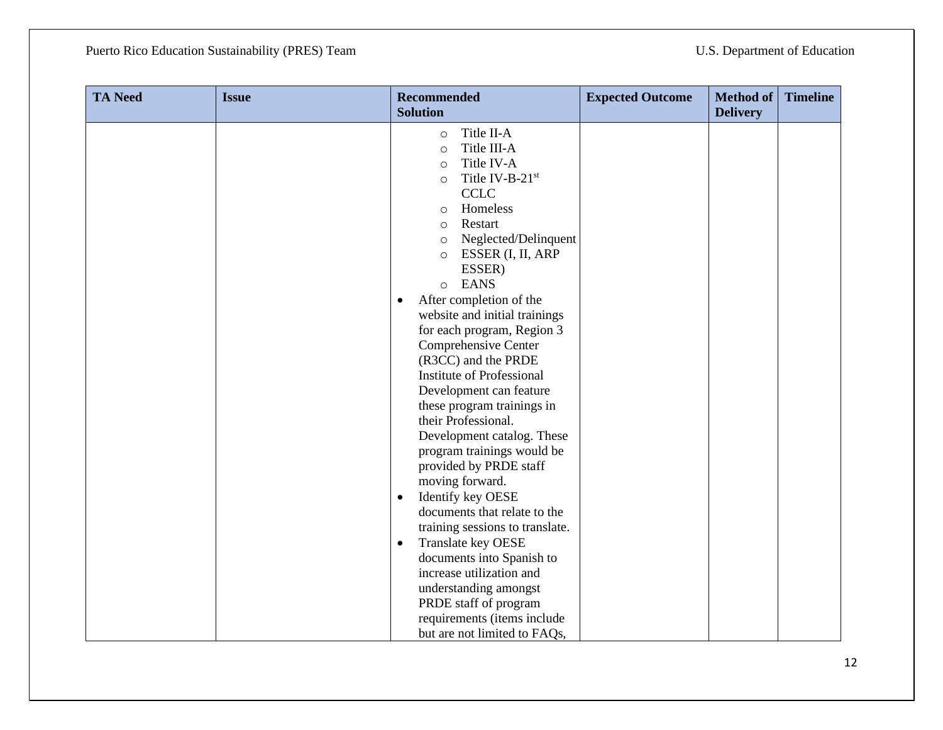| <b>TA Need</b> | <b>Issue</b> | <b>Recommended</b><br><b>Solution</b>                                                                                                                                                                                                                                                                                                                                                                                                                                                                                                                                                                                                                                                                                                                                                                                                                                                                                                   | <b>Expected Outcome</b> | <b>Method of</b><br><b>Delivery</b> | <b>Timeline</b> |
|----------------|--------------|-----------------------------------------------------------------------------------------------------------------------------------------------------------------------------------------------------------------------------------------------------------------------------------------------------------------------------------------------------------------------------------------------------------------------------------------------------------------------------------------------------------------------------------------------------------------------------------------------------------------------------------------------------------------------------------------------------------------------------------------------------------------------------------------------------------------------------------------------------------------------------------------------------------------------------------------|-------------------------|-------------------------------------|-----------------|
|                |              | Title II-A<br>$\circ$<br>Title III-A<br>$\circ$<br>Title IV-A<br>$\circ$<br>Title IV-B-21st<br>$\circ$<br><b>CCLC</b><br>Homeless<br>$\circ$<br>Restart<br>$\circ$<br>Neglected/Delinquent<br>$\circ$<br>ESSER (I, II, ARP<br>$\circ$<br>ESSER)<br><b>EANS</b><br>$\circ$<br>After completion of the<br>$\bullet$<br>website and initial trainings<br>for each program, Region 3<br>Comprehensive Center<br>(R3CC) and the PRDE<br>Institute of Professional<br>Development can feature<br>these program trainings in<br>their Professional.<br>Development catalog. These<br>program trainings would be<br>provided by PRDE staff<br>moving forward.<br>Identify key OESE<br>$\bullet$<br>documents that relate to the<br>training sessions to translate.<br>Translate key OESE<br>$\bullet$<br>documents into Spanish to<br>increase utilization and<br>understanding amongst<br>PRDE staff of program<br>requirements (items include |                         |                                     |                 |
|                |              | but are not limited to FAQs,                                                                                                                                                                                                                                                                                                                                                                                                                                                                                                                                                                                                                                                                                                                                                                                                                                                                                                            |                         |                                     |                 |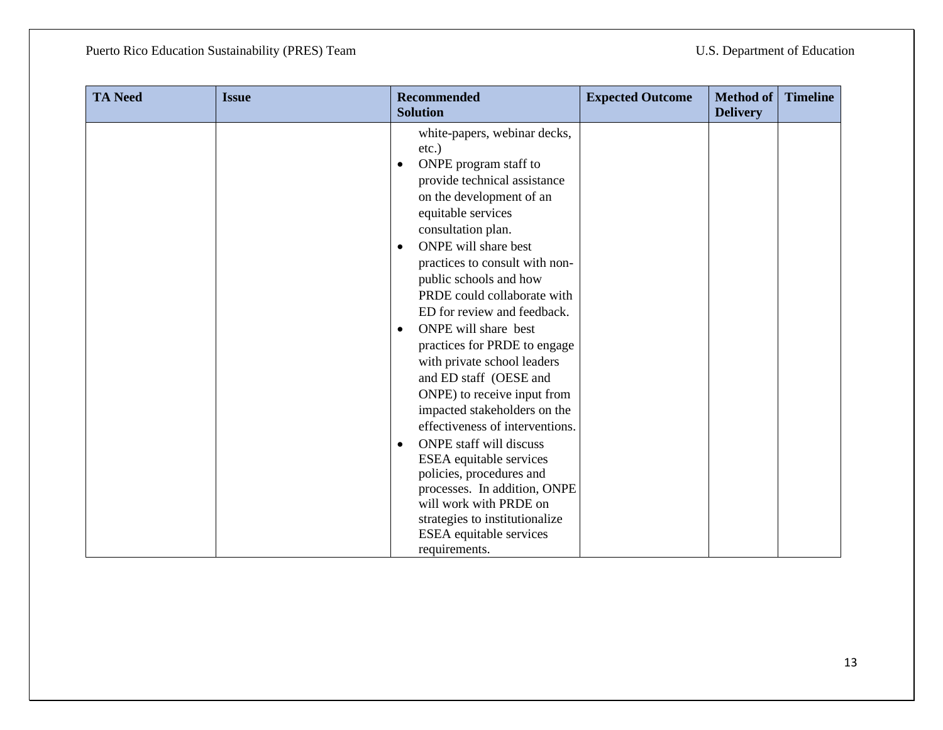| <b>TA Need</b> | <b>Issue</b> | <b>Recommended</b><br><b>Solution</b>                                                                                                                                                                                                                                                                                                                                                                                                                                                                                                                                                                                                                                                                                                                                                                          | <b>Expected Outcome</b> | <b>Method of</b><br><b>Delivery</b> | <b>Timeline</b> |
|----------------|--------------|----------------------------------------------------------------------------------------------------------------------------------------------------------------------------------------------------------------------------------------------------------------------------------------------------------------------------------------------------------------------------------------------------------------------------------------------------------------------------------------------------------------------------------------------------------------------------------------------------------------------------------------------------------------------------------------------------------------------------------------------------------------------------------------------------------------|-------------------------|-------------------------------------|-----------------|
|                |              | white-papers, webinar decks,<br>$etc.$ )<br>ONPE program staff to<br>provide technical assistance<br>on the development of an<br>equitable services<br>consultation plan.<br>ONPE will share best<br>$\bullet$<br>practices to consult with non-<br>public schools and how<br>PRDE could collaborate with<br>ED for review and feedback.<br>ONPE will share best<br>$\bullet$<br>practices for PRDE to engage<br>with private school leaders<br>and ED staff (OESE and<br>ONPE) to receive input from<br>impacted stakeholders on the<br>effectiveness of interventions.<br><b>ONPE</b> staff will discuss<br>٠<br>ESEA equitable services<br>policies, procedures and<br>processes. In addition, ONPE<br>will work with PRDE on<br>strategies to institutionalize<br>ESEA equitable services<br>requirements. |                         |                                     |                 |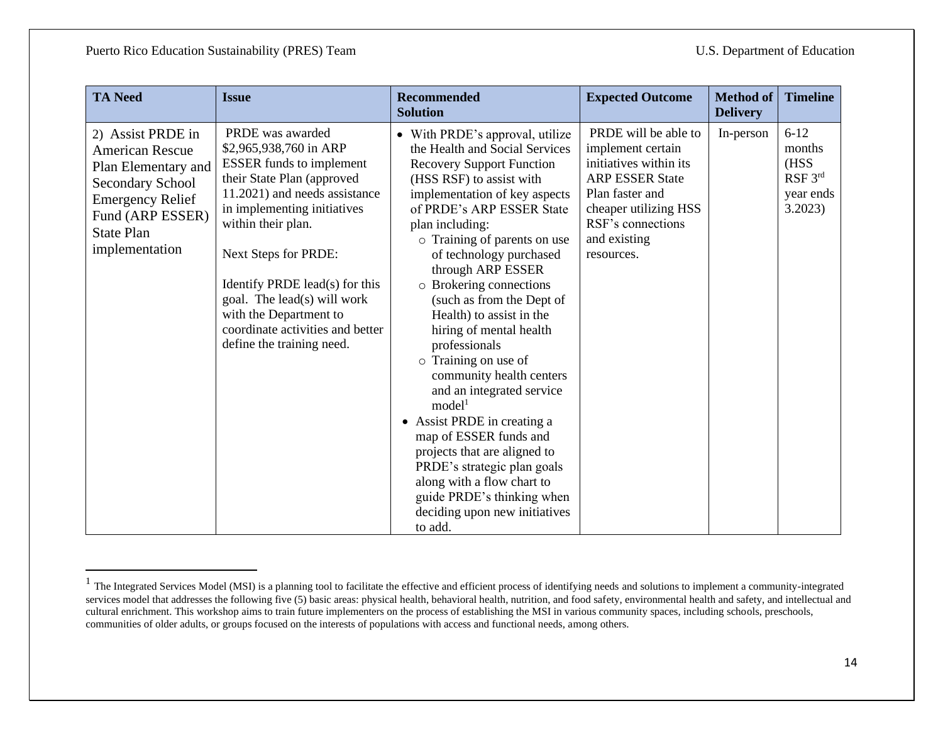| <b>TA Need</b>                                                                                                                                                               | <b>Issue</b>                                                                                                                                                                                                                                                                                                                                                                          | <b>Recommended</b><br><b>Solution</b>                                                                                                                                                                                                                                                                                                                                                                                                                                                                                                                                                                                                                                                                                                                                     | <b>Expected Outcome</b>                                                                                                                                                                      | <b>Method of</b><br><b>Delivery</b> | <b>Timeline</b>                                               |
|------------------------------------------------------------------------------------------------------------------------------------------------------------------------------|---------------------------------------------------------------------------------------------------------------------------------------------------------------------------------------------------------------------------------------------------------------------------------------------------------------------------------------------------------------------------------------|---------------------------------------------------------------------------------------------------------------------------------------------------------------------------------------------------------------------------------------------------------------------------------------------------------------------------------------------------------------------------------------------------------------------------------------------------------------------------------------------------------------------------------------------------------------------------------------------------------------------------------------------------------------------------------------------------------------------------------------------------------------------------|----------------------------------------------------------------------------------------------------------------------------------------------------------------------------------------------|-------------------------------------|---------------------------------------------------------------|
| 2) Assist PRDE in<br><b>American Rescue</b><br>Plan Elementary and<br>Secondary School<br><b>Emergency Relief</b><br>Fund (ARP ESSER)<br><b>State Plan</b><br>implementation | PRDE was awarded<br>\$2,965,938,760 in ARP<br><b>ESSER</b> funds to implement<br>their State Plan (approved<br>11.2021) and needs assistance<br>in implementing initiatives<br>within their plan.<br>Next Steps for PRDE:<br>Identify PRDE lead(s) for this<br>goal. The lead(s) will work<br>with the Department to<br>coordinate activities and better<br>define the training need. | • With PRDE's approval, utilize<br>the Health and Social Services<br><b>Recovery Support Function</b><br>(HSS RSF) to assist with<br>implementation of key aspects<br>of PRDE's ARP ESSER State<br>plan including:<br>o Training of parents on use<br>of technology purchased<br>through ARP ESSER<br>o Brokering connections<br>(such as from the Dept of<br>Health) to assist in the<br>hiring of mental health<br>professionals<br>o Training on use of<br>community health centers<br>and an integrated service<br>model <sup>1</sup><br>• Assist PRDE in creating a<br>map of ESSER funds and<br>projects that are aligned to<br>PRDE's strategic plan goals<br>along with a flow chart to<br>guide PRDE's thinking when<br>deciding upon new initiatives<br>to add. | PRDE will be able to<br>implement certain<br>initiatives within its<br><b>ARP ESSER State</b><br>Plan faster and<br>cheaper utilizing HSS<br>RSF's connections<br>and existing<br>resources. | In-person                           | $6 - 12$<br>months<br>(HSS<br>RSF 3rd<br>year ends<br>3.2023) |

 $<sup>1</sup>$  The Integrated Services Model (MSI) is a planning tool to facilitate the effective and efficient process of identifying needs and solutions to implement a community-integrated</sup> services model that addresses the following five (5) basic areas: physical health, behavioral health, nutrition, and food safety, environmental health and safety, and intellectual and cultural enrichment. This workshop aims to train future implementers on the process of establishing the MSI in various community spaces, including schools, preschools, communities of older adults, or groups focused on the interests of populations with access and functional needs, among others.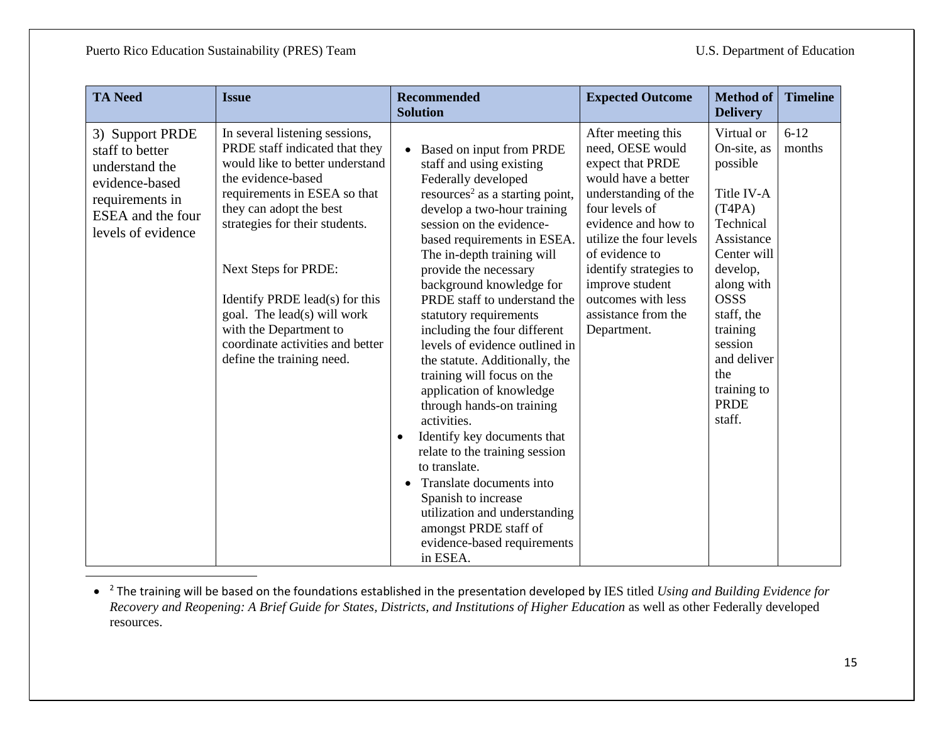| <b>TA Need</b>                                                                                                                       | <b>Issue</b>                                                                                                                                                                                                                                                                                                                                                                                               | <b>Recommended</b><br><b>Solution</b>                                                                                                                                                                                                                                                                                                                                                                                                                                                                                                                                                                                                                                                                                                                                                                                 | <b>Expected Outcome</b>                                                                                                                                                                                                                                                                                  | <b>Method of</b><br><b>Delivery</b>                                                                                                                                                                                                                 | <b>Timeline</b>    |
|--------------------------------------------------------------------------------------------------------------------------------------|------------------------------------------------------------------------------------------------------------------------------------------------------------------------------------------------------------------------------------------------------------------------------------------------------------------------------------------------------------------------------------------------------------|-----------------------------------------------------------------------------------------------------------------------------------------------------------------------------------------------------------------------------------------------------------------------------------------------------------------------------------------------------------------------------------------------------------------------------------------------------------------------------------------------------------------------------------------------------------------------------------------------------------------------------------------------------------------------------------------------------------------------------------------------------------------------------------------------------------------------|----------------------------------------------------------------------------------------------------------------------------------------------------------------------------------------------------------------------------------------------------------------------------------------------------------|-----------------------------------------------------------------------------------------------------------------------------------------------------------------------------------------------------------------------------------------------------|--------------------|
| 3) Support PRDE<br>staff to better<br>understand the<br>evidence-based<br>requirements in<br>ESEA and the four<br>levels of evidence | In several listening sessions,<br>PRDE staff indicated that they<br>would like to better understand<br>the evidence-based<br>requirements in ESEA so that<br>they can adopt the best<br>strategies for their students.<br>Next Steps for PRDE:<br>Identify PRDE lead(s) for this<br>goal. The lead(s) will work<br>with the Department to<br>coordinate activities and better<br>define the training need. | Based on input from PRDE<br>staff and using existing<br>Federally developed<br>resources <sup>2</sup> as a starting point,<br>develop a two-hour training<br>session on the evidence-<br>based requirements in ESEA.<br>The in-depth training will<br>provide the necessary<br>background knowledge for<br>PRDE staff to understand the<br>statutory requirements<br>including the four different<br>levels of evidence outlined in<br>the statute. Additionally, the<br>training will focus on the<br>application of knowledge<br>through hands-on training<br>activities.<br>Identify key documents that<br>relate to the training session<br>to translate.<br>Translate documents into<br>Spanish to increase<br>utilization and understanding<br>amongst PRDE staff of<br>evidence-based requirements<br>in ESEA. | After meeting this<br>need, OESE would<br>expect that PRDE<br>would have a better<br>understanding of the<br>four levels of<br>evidence and how to<br>utilize the four levels<br>of evidence to<br>identify strategies to<br>improve student<br>outcomes with less<br>assistance from the<br>Department. | Virtual or<br>On-site, as<br>possible<br>Title IV-A<br>(T4PA)<br>Technical<br>Assistance<br>Center will<br>develop,<br>along with<br><b>OSSS</b><br>staff, the<br>training<br>session<br>and deliver<br>the<br>training to<br><b>PRDE</b><br>staff. | $6 - 12$<br>months |

• <sup>2</sup> The training will be based on the foundations established in the presentation developed by IES titled *Using and Building Evidence for Recovery and Reopening: A Brief Guide for States, Districts, and Institutions of Higher Education* as well as other Federally developed resources.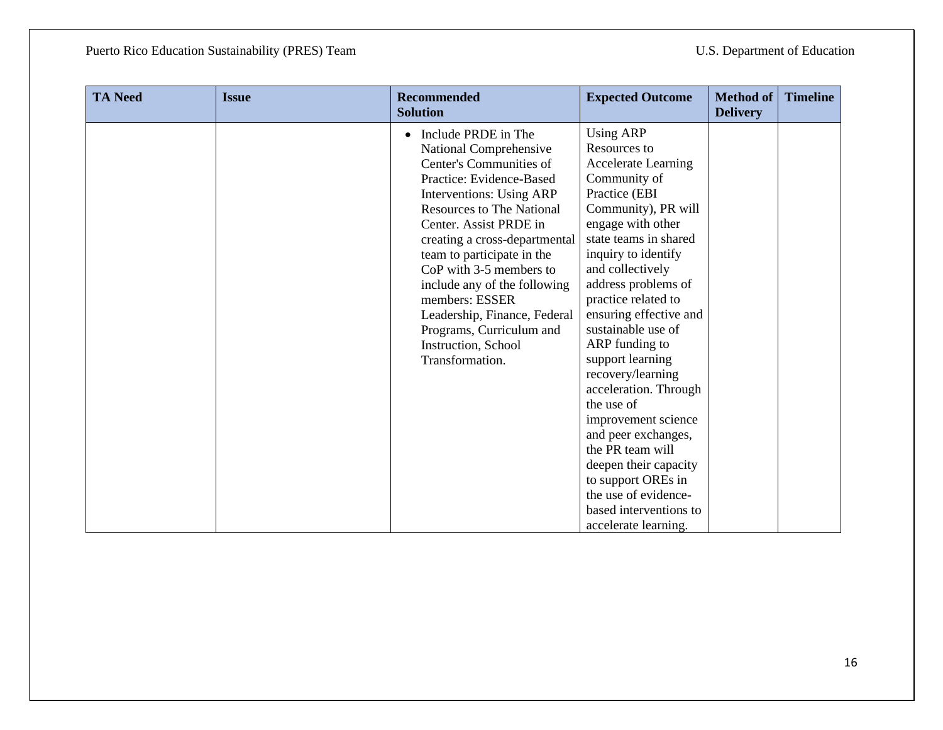| <b>TA Need</b> | <b>Issue</b> | <b>Recommended</b><br><b>Solution</b>                                                                                                                                                                                                                                                                                                                                                                                                            | <b>Expected Outcome</b>                                                                                                                                                                                                                                                                                                                                                                                                                                                                                                                                                                                    | Method of<br><b>Delivery</b> | <b>Timeline</b> |
|----------------|--------------|--------------------------------------------------------------------------------------------------------------------------------------------------------------------------------------------------------------------------------------------------------------------------------------------------------------------------------------------------------------------------------------------------------------------------------------------------|------------------------------------------------------------------------------------------------------------------------------------------------------------------------------------------------------------------------------------------------------------------------------------------------------------------------------------------------------------------------------------------------------------------------------------------------------------------------------------------------------------------------------------------------------------------------------------------------------------|------------------------------|-----------------|
|                |              | Include PRDE in The<br>National Comprehensive<br>Center's Communities of<br>Practice: Evidence-Based<br>Interventions: Using ARP<br><b>Resources to The National</b><br>Center. Assist PRDE in<br>creating a cross-departmental<br>team to participate in the<br>CoP with 3-5 members to<br>include any of the following<br>members: ESSER<br>Leadership, Finance, Federal<br>Programs, Curriculum and<br>Instruction, School<br>Transformation. | <b>Using ARP</b><br>Resources to<br><b>Accelerate Learning</b><br>Community of<br>Practice (EBI<br>Community), PR will<br>engage with other<br>state teams in shared<br>inquiry to identify<br>and collectively<br>address problems of<br>practice related to<br>ensuring effective and<br>sustainable use of<br>ARP funding to<br>support learning<br>recovery/learning<br>acceleration. Through<br>the use of<br>improvement science<br>and peer exchanges,<br>the PR team will<br>deepen their capacity<br>to support OREs in<br>the use of evidence-<br>based interventions to<br>accelerate learning. |                              |                 |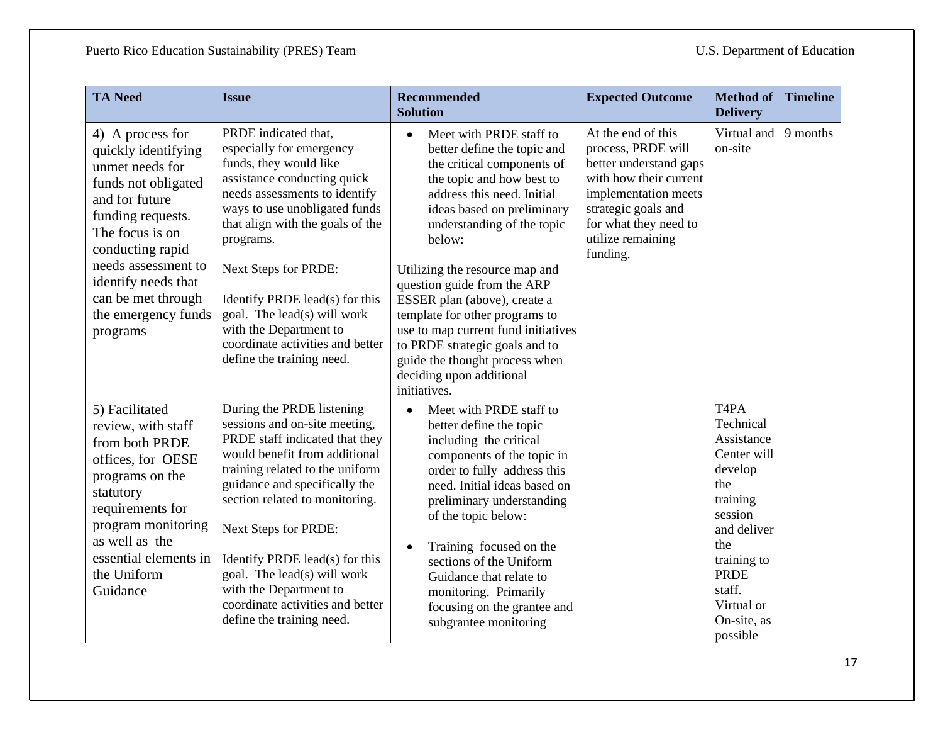| <b>TA Need</b>                                                                                                                                                                                                                                                         | <b>Issue</b>                                                                                                                                                                                                                                                                                                                                                                                                            | <b>Recommended</b><br><b>Solution</b>                                                                                                                                                                                                                                                                                                                                                                                                                                                                                        | <b>Expected Outcome</b>                                                                                                                                                                               | <b>Method</b> of<br><b>Delivery</b>                                                                                                                                                                                     | <b>Timeline</b> |
|------------------------------------------------------------------------------------------------------------------------------------------------------------------------------------------------------------------------------------------------------------------------|-------------------------------------------------------------------------------------------------------------------------------------------------------------------------------------------------------------------------------------------------------------------------------------------------------------------------------------------------------------------------------------------------------------------------|------------------------------------------------------------------------------------------------------------------------------------------------------------------------------------------------------------------------------------------------------------------------------------------------------------------------------------------------------------------------------------------------------------------------------------------------------------------------------------------------------------------------------|-------------------------------------------------------------------------------------------------------------------------------------------------------------------------------------------------------|-------------------------------------------------------------------------------------------------------------------------------------------------------------------------------------------------------------------------|-----------------|
| 4) A process for<br>quickly identifying<br>unmet needs for<br>funds not obligated<br>and for future<br>funding requests.<br>The focus is on<br>conducting rapid<br>needs assessment to<br>identify needs that<br>can be met through<br>the emergency funds<br>programs | PRDE indicated that,<br>especially for emergency<br>funds, they would like<br>assistance conducting quick<br>needs assessments to identify<br>ways to use unobligated funds<br>that align with the goals of the<br>programs.<br>Next Steps for PRDE:<br>Identify PRDE lead(s) for this<br>goal. The lead(s) will work<br>with the Department to<br>coordinate activities and better<br>define the training need.        | Meet with PRDE staff to<br>$\bullet$<br>better define the topic and<br>the critical components of<br>the topic and how best to<br>address this need. Initial<br>ideas based on preliminary<br>understanding of the topic<br>below:<br>Utilizing the resource map and<br>question guide from the ARP<br>ESSER plan (above), create a<br>template for other programs to<br>use to map current fund initiatives<br>to PRDE strategic goals and to<br>guide the thought process when<br>deciding upon additional<br>initiatives. | At the end of this<br>process, PRDE will<br>better understand gaps<br>with how their current<br>implementation meets<br>strategic goals and<br>for what they need to<br>utilize remaining<br>funding. | Virtual and<br>on-site                                                                                                                                                                                                  | 9 months        |
| 5) Facilitated<br>review, with staff<br>from both PRDE<br>offices, for OESE<br>programs on the<br>statutory<br>requirements for<br>program monitoring<br>as well as the<br>essential elements in<br>the Uniform<br>Guidance                                            | During the PRDE listening<br>sessions and on-site meeting,<br>PRDE staff indicated that they<br>would benefit from additional<br>training related to the uniform<br>guidance and specifically the<br>section related to monitoring.<br>Next Steps for PRDE:<br>Identify PRDE lead(s) for this<br>goal. The lead(s) will work<br>with the Department to<br>coordinate activities and better<br>define the training need. | Meet with PRDE staff to<br>$\bullet$<br>better define the topic<br>including the critical<br>components of the topic in<br>order to fully address this<br>need. Initial ideas based on<br>preliminary understanding<br>of the topic below:<br>Training focused on the<br>sections of the Uniform<br>Guidance that relate to<br>monitoring. Primarily<br>focusing on the grantee and<br>subgrantee monitoring                                                                                                                 |                                                                                                                                                                                                       | T <sub>4</sub> P <sub>A</sub><br>Technical<br>Assistance<br>Center will<br>develop<br>the<br>training<br>session<br>and deliver<br>the<br>training to<br><b>PRDE</b><br>staff.<br>Virtual or<br>On-site, as<br>possible |                 |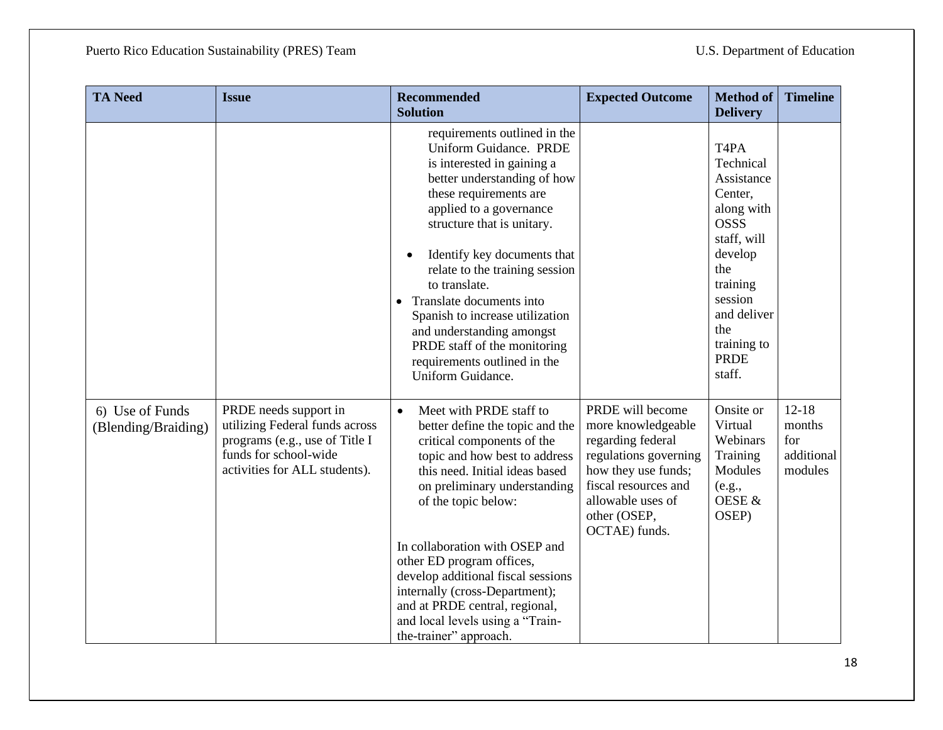| <b>TA Need</b>                         | <b>Issue</b>                                                                                                                                        | <b>Recommended</b><br><b>Solution</b>                                                                                                                                                                                                                                                                                                                                                                                                                                            | <b>Expected Outcome</b>                                                                                                                                                                   | <b>Method of</b><br><b>Delivery</b>                                                                                                                                                                                    | <b>Timeline</b>                                     |
|----------------------------------------|-----------------------------------------------------------------------------------------------------------------------------------------------------|----------------------------------------------------------------------------------------------------------------------------------------------------------------------------------------------------------------------------------------------------------------------------------------------------------------------------------------------------------------------------------------------------------------------------------------------------------------------------------|-------------------------------------------------------------------------------------------------------------------------------------------------------------------------------------------|------------------------------------------------------------------------------------------------------------------------------------------------------------------------------------------------------------------------|-----------------------------------------------------|
|                                        |                                                                                                                                                     | requirements outlined in the<br><b>Uniform Guidance. PRDE</b><br>is interested in gaining a<br>better understanding of how<br>these requirements are<br>applied to a governance<br>structure that is unitary.<br>Identify key documents that<br>relate to the training session<br>to translate.<br>Translate documents into<br>Spanish to increase utilization<br>and understanding amongst<br>PRDE staff of the monitoring<br>requirements outlined in the<br>Uniform Guidance. |                                                                                                                                                                                           | T <sub>4</sub> P <sub>A</sub><br>Technical<br>Assistance<br>Center,<br>along with<br><b>OSSS</b><br>staff, will<br>develop<br>the<br>training<br>session<br>and deliver<br>the<br>training to<br><b>PRDE</b><br>staff. |                                                     |
| 6) Use of Funds<br>(Blending/Braiding) | PRDE needs support in<br>utilizing Federal funds across<br>programs (e.g., use of Title I<br>funds for school-wide<br>activities for ALL students). | Meet with PRDE staff to<br>$\bullet$<br>better define the topic and the<br>critical components of the<br>topic and how best to address<br>this need. Initial ideas based<br>on preliminary understanding<br>of the topic below:<br>In collaboration with OSEP and<br>other ED program offices,<br>develop additional fiscal sessions<br>internally (cross-Department);<br>and at PRDE central, regional,<br>and local levels using a "Train-<br>the-trainer" approach.           | PRDE will become<br>more knowledgeable<br>regarding federal<br>regulations governing<br>how they use funds;<br>fiscal resources and<br>allowable uses of<br>other (OSEP,<br>OCTAE) funds. | Onsite or<br>Virtual<br>Webinars<br>Training<br>Modules<br>(e.g.,<br>OESE &<br>OSEP)                                                                                                                                   | $12 - 18$<br>months<br>for<br>additional<br>modules |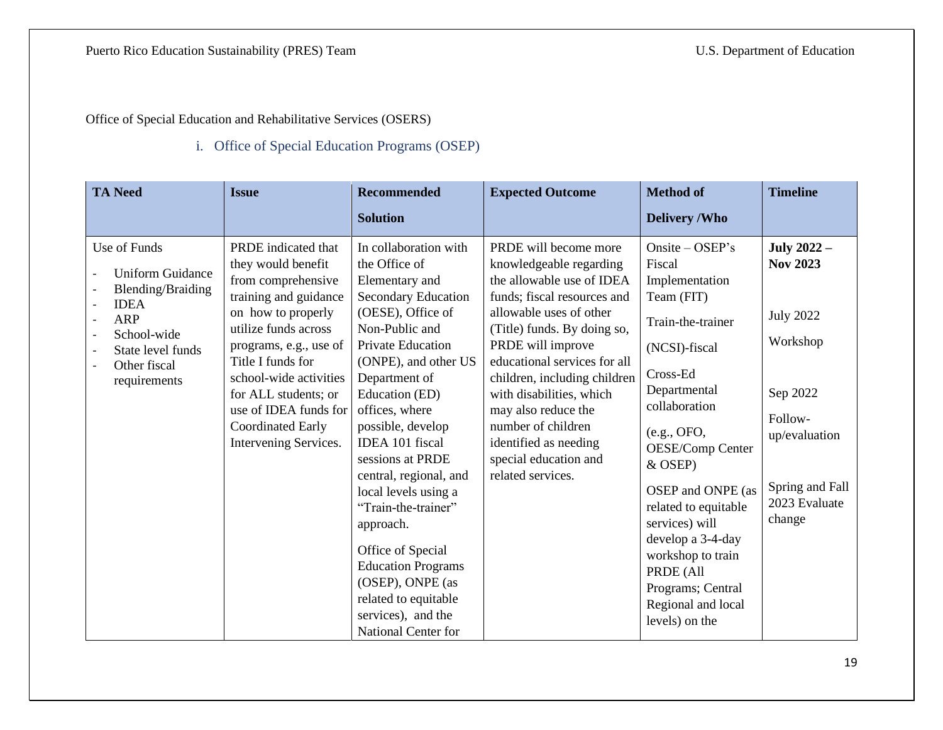Office of Special Education and Rehabilitative Services (OSERS)

### i. Office of Special Education Programs (OSEP)

<span id="page-18-1"></span><span id="page-18-0"></span>

| <b>TA Need</b>                                                                                                                                                                                                                                           | <b>Issue</b>                                                                                                                                                                                                                                                                                                   | <b>Recommended</b>                                                                                                                                                                                                                                                                                                                                                                                                                                                                                                                  | <b>Expected Outcome</b>                                                                                                                                                                                                                                                                                                                                                                                     | <b>Method of</b>                                                                                                                                                                                                                                                                                                                                                                | <b>Timeline</b>                                                                                                                                              |
|----------------------------------------------------------------------------------------------------------------------------------------------------------------------------------------------------------------------------------------------------------|----------------------------------------------------------------------------------------------------------------------------------------------------------------------------------------------------------------------------------------------------------------------------------------------------------------|-------------------------------------------------------------------------------------------------------------------------------------------------------------------------------------------------------------------------------------------------------------------------------------------------------------------------------------------------------------------------------------------------------------------------------------------------------------------------------------------------------------------------------------|-------------------------------------------------------------------------------------------------------------------------------------------------------------------------------------------------------------------------------------------------------------------------------------------------------------------------------------------------------------------------------------------------------------|---------------------------------------------------------------------------------------------------------------------------------------------------------------------------------------------------------------------------------------------------------------------------------------------------------------------------------------------------------------------------------|--------------------------------------------------------------------------------------------------------------------------------------------------------------|
|                                                                                                                                                                                                                                                          |                                                                                                                                                                                                                                                                                                                | <b>Solution</b>                                                                                                                                                                                                                                                                                                                                                                                                                                                                                                                     |                                                                                                                                                                                                                                                                                                                                                                                                             | <b>Delivery/Who</b>                                                                                                                                                                                                                                                                                                                                                             |                                                                                                                                                              |
| Use of Funds<br><b>Uniform Guidance</b><br><b>Blending/Braiding</b><br><b>IDEA</b><br>$\overline{\phantom{a}}$<br><b>ARP</b><br>$\overline{\phantom{a}}$<br>School-wide<br>$\overline{\phantom{a}}$<br>State level funds<br>Other fiscal<br>requirements | PRDE indicated that<br>they would benefit<br>from comprehensive<br>training and guidance<br>on how to properly<br>utilize funds across<br>programs, e.g., use of<br>Title I funds for<br>school-wide activities<br>for ALL students; or<br>use of IDEA funds for<br>Coordinated Early<br>Intervening Services. | In collaboration with<br>the Office of<br>Elementary and<br><b>Secondary Education</b><br>(OESE), Office of<br>Non-Public and<br><b>Private Education</b><br>(ONPE), and other US<br>Department of<br>Education (ED)<br>offices, where<br>possible, develop<br>IDEA 101 fiscal<br>sessions at PRDE<br>central, regional, and<br>local levels using a<br>"Train-the-trainer"<br>approach.<br>Office of Special<br><b>Education Programs</b><br>(OSEP), ONPE (as<br>related to equitable<br>services), and the<br>National Center for | PRDE will become more<br>knowledgeable regarding<br>the allowable use of IDEA<br>funds; fiscal resources and<br>allowable uses of other<br>(Title) funds. By doing so,<br>PRDE will improve<br>educational services for all<br>children, including children<br>with disabilities, which<br>may also reduce the<br>number of children<br>identified as needing<br>special education and<br>related services. | Onsite $-$ OSEP's<br>Fiscal<br>Implementation<br>Team (FIT)<br>Train-the-trainer<br>(NCSI)-fiscal<br>Cross-Ed<br>Departmental<br>collaboration<br>(e.g., OFO,<br>OESE/Comp Center<br>& OSEP)<br>OSEP and ONPE (as<br>related to equitable<br>services) will<br>develop a 3-4-day<br>workshop to train<br>PRDE (All<br>Programs; Central<br>Regional and local<br>levels) on the | <b>July 2022 --</b><br><b>Nov 2023</b><br><b>July 2022</b><br>Workshop<br>Sep 2022<br>Follow-<br>up/evaluation<br>Spring and Fall<br>2023 Evaluate<br>change |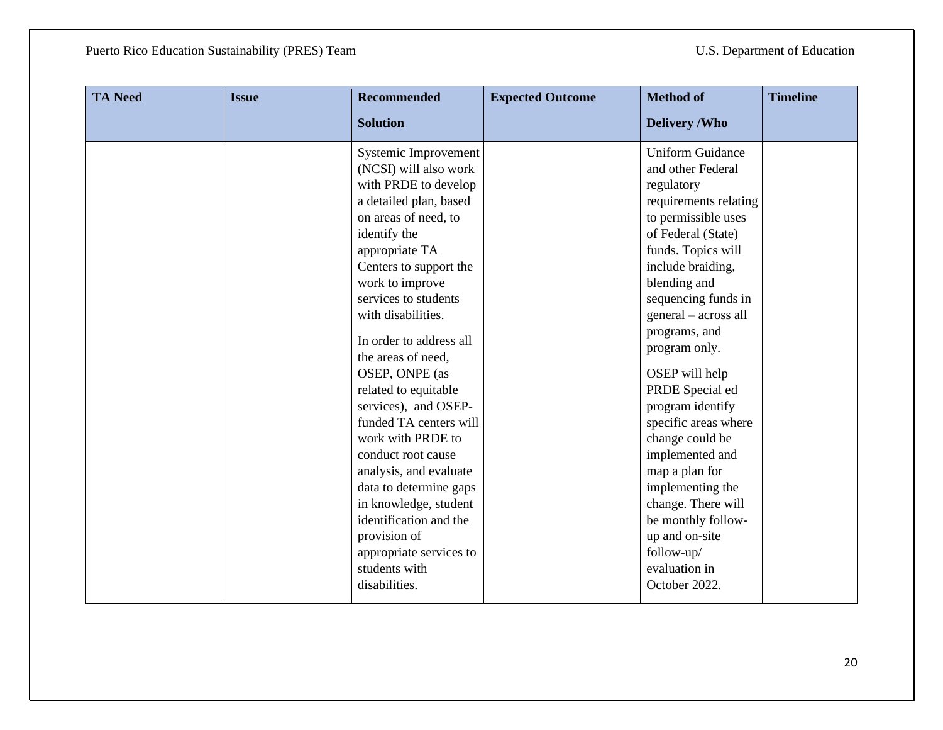| <b>TA Need</b> | <b>Issue</b> | <b>Recommended</b>      | <b>Expected Outcome</b> | <b>Method of</b>        | <b>Timeline</b> |
|----------------|--------------|-------------------------|-------------------------|-------------------------|-----------------|
|                |              | <b>Solution</b>         |                         | <b>Delivery /Who</b>    |                 |
|                |              | Systemic Improvement    |                         | <b>Uniform Guidance</b> |                 |
|                |              | (NCSI) will also work   |                         | and other Federal       |                 |
|                |              | with PRDE to develop    |                         | regulatory              |                 |
|                |              | a detailed plan, based  |                         | requirements relating   |                 |
|                |              | on areas of need, to    |                         | to permissible uses     |                 |
|                |              | identify the            |                         | of Federal (State)      |                 |
|                |              | appropriate TA          |                         | funds. Topics will      |                 |
|                |              | Centers to support the  |                         | include braiding,       |                 |
|                |              | work to improve         |                         | blending and            |                 |
|                |              | services to students    |                         | sequencing funds in     |                 |
|                |              | with disabilities.      |                         | general - across all    |                 |
|                |              | In order to address all |                         | programs, and           |                 |
|                |              | the areas of need,      |                         | program only.           |                 |
|                |              | OSEP, ONPE (as          |                         | OSEP will help          |                 |
|                |              | related to equitable    |                         | PRDE Special ed         |                 |
|                |              | services), and OSEP-    |                         | program identify        |                 |
|                |              | funded TA centers will  |                         | specific areas where    |                 |
|                |              | work with PRDE to       |                         | change could be         |                 |
|                |              | conduct root cause      |                         | implemented and         |                 |
|                |              | analysis, and evaluate  |                         | map a plan for          |                 |
|                |              | data to determine gaps  |                         | implementing the        |                 |
|                |              | in knowledge, student   |                         | change. There will      |                 |
|                |              | identification and the  |                         | be monthly follow-      |                 |
|                |              | provision of            |                         | up and on-site          |                 |
|                |              | appropriate services to |                         | follow-up/              |                 |
|                |              | students with           |                         | evaluation in           |                 |
|                |              | disabilities.           |                         | October 2022.           |                 |
|                |              |                         |                         |                         |                 |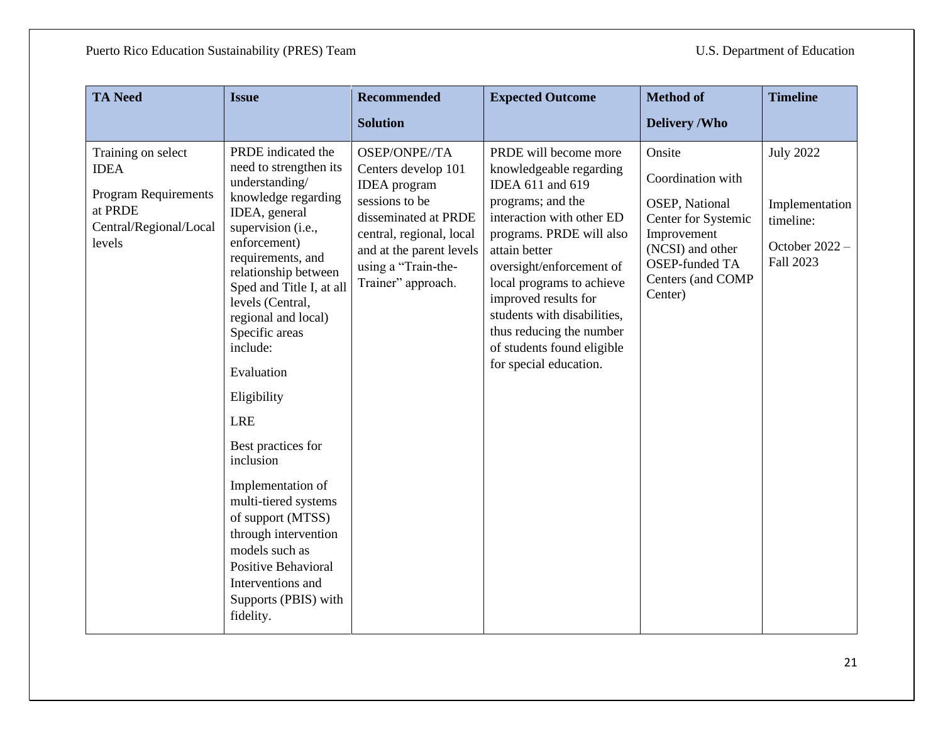| <b>TA Need</b>                                                                                                  | <b>Issue</b>                                                                                                                                                                                                                                                                                                                                                                                                                                                                                                                                                              | <b>Recommended</b>                                                                                                                                                                                         | <b>Expected Outcome</b>                                                                                                                                                                                                                                                                                                                                                 | <b>Method of</b>                                                                                                                                          | <b>Timeline</b>                                                                  |
|-----------------------------------------------------------------------------------------------------------------|---------------------------------------------------------------------------------------------------------------------------------------------------------------------------------------------------------------------------------------------------------------------------------------------------------------------------------------------------------------------------------------------------------------------------------------------------------------------------------------------------------------------------------------------------------------------------|------------------------------------------------------------------------------------------------------------------------------------------------------------------------------------------------------------|-------------------------------------------------------------------------------------------------------------------------------------------------------------------------------------------------------------------------------------------------------------------------------------------------------------------------------------------------------------------------|-----------------------------------------------------------------------------------------------------------------------------------------------------------|----------------------------------------------------------------------------------|
|                                                                                                                 |                                                                                                                                                                                                                                                                                                                                                                                                                                                                                                                                                                           | <b>Solution</b>                                                                                                                                                                                            |                                                                                                                                                                                                                                                                                                                                                                         | <b>Delivery /Who</b>                                                                                                                                      |                                                                                  |
| Training on select<br><b>IDEA</b><br><b>Program Requirements</b><br>at PRDE<br>Central/Regional/Local<br>levels | PRDE indicated the<br>need to strengthen its<br>understanding/<br>knowledge regarding<br>IDEA, general<br>supervision (i.e.,<br>enforcement)<br>requirements, and<br>relationship between<br>Sped and Title I, at all<br>levels (Central,<br>regional and local)<br>Specific areas<br>include:<br>Evaluation<br>Eligibility<br><b>LRE</b><br>Best practices for<br>inclusion<br>Implementation of<br>multi-tiered systems<br>of support (MTSS)<br>through intervention<br>models such as<br>Positive Behavioral<br>Interventions and<br>Supports (PBIS) with<br>fidelity. | OSEP/ONPE//TA<br>Centers develop 101<br><b>IDEA</b> program<br>sessions to be<br>disseminated at PRDE<br>central, regional, local<br>and at the parent levels<br>using a "Train-the-<br>Trainer" approach. | PRDE will become more<br>knowledgeable regarding<br>IDEA 611 and 619<br>programs; and the<br>interaction with other ED<br>programs. PRDE will also<br>attain better<br>oversight/enforcement of<br>local programs to achieve<br>improved results for<br>students with disabilities,<br>thus reducing the number<br>of students found eligible<br>for special education. | Onsite<br>Coordination with<br>OSEP, National<br>Center for Systemic<br>Improvement<br>(NCSI) and other<br>OSEP-funded TA<br>Centers (and COMP<br>Center) | <b>July 2022</b><br>Implementation<br>timeline:<br>October $2022 -$<br>Fall 2023 |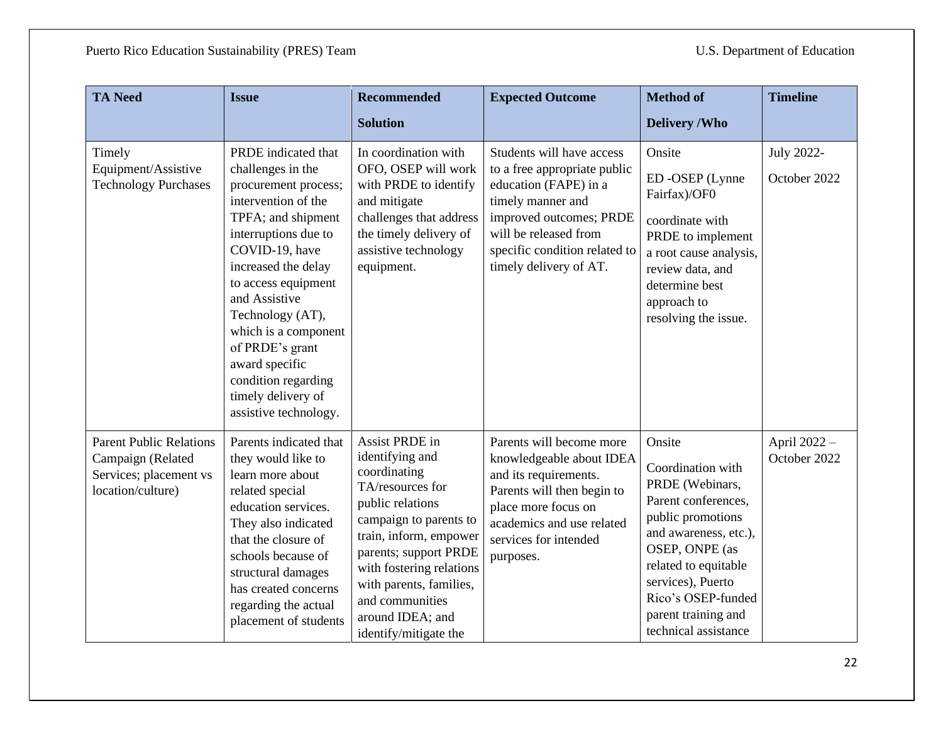| <b>TA Need</b>                                                                                     | <b>Issue</b>                                                                                                                                                                                                                                                                                                                                                                  | <b>Recommended</b>                                                                                                                                                                                                                                                                            | <b>Expected Outcome</b>                                                                                                                                                                                                | <b>Method of</b>                                                                                                                                                                                                                                        | <b>Timeline</b>              |
|----------------------------------------------------------------------------------------------------|-------------------------------------------------------------------------------------------------------------------------------------------------------------------------------------------------------------------------------------------------------------------------------------------------------------------------------------------------------------------------------|-----------------------------------------------------------------------------------------------------------------------------------------------------------------------------------------------------------------------------------------------------------------------------------------------|------------------------------------------------------------------------------------------------------------------------------------------------------------------------------------------------------------------------|---------------------------------------------------------------------------------------------------------------------------------------------------------------------------------------------------------------------------------------------------------|------------------------------|
|                                                                                                    |                                                                                                                                                                                                                                                                                                                                                                               | <b>Solution</b>                                                                                                                                                                                                                                                                               |                                                                                                                                                                                                                        | <b>Delivery /Who</b>                                                                                                                                                                                                                                    |                              |
| Timely<br>Equipment/Assistive<br><b>Technology Purchases</b>                                       | PRDE indicated that<br>challenges in the<br>procurement process;<br>intervention of the<br>TPFA; and shipment<br>interruptions due to<br>COVID-19, have<br>increased the delay<br>to access equipment<br>and Assistive<br>Technology (AT),<br>which is a component<br>of PRDE's grant<br>award specific<br>condition regarding<br>timely delivery of<br>assistive technology. | In coordination with<br>OFO, OSEP will work<br>with PRDE to identify<br>and mitigate<br>challenges that address<br>the timely delivery of<br>assistive technology<br>equipment.                                                                                                               | Students will have access<br>to a free appropriate public<br>education (FAPE) in a<br>timely manner and<br>improved outcomes; PRDE<br>will be released from<br>specific condition related to<br>timely delivery of AT. | Onsite<br>ED-OSEP (Lynne<br>Fairfax)/OF0<br>coordinate with<br>PRDE to implement<br>a root cause analysis,<br>review data, and<br>determine best<br>approach to<br>resolving the issue.                                                                 | July 2022-<br>October 2022   |
| <b>Parent Public Relations</b><br>Campaign (Related<br>Services; placement vs<br>location/culture) | Parents indicated that<br>they would like to<br>learn more about<br>related special<br>education services.<br>They also indicated<br>that the closure of<br>schools because of<br>structural damages<br>has created concerns<br>regarding the actual<br>placement of students                                                                                                 | Assist PRDE in<br>identifying and<br>coordinating<br>TA/resources for<br>public relations<br>campaign to parents to<br>train, inform, empower<br>parents; support PRDE<br>with fostering relations<br>with parents, families,<br>and communities<br>around IDEA; and<br>identify/mitigate the | Parents will become more<br>knowledgeable about IDEA<br>and its requirements.<br>Parents will then begin to<br>place more focus on<br>academics and use related<br>services for intended<br>purposes.                  | Onsite<br>Coordination with<br>PRDE (Webinars,<br>Parent conferences,<br>public promotions<br>and awareness, etc.),<br>OSEP, ONPE (as<br>related to equitable<br>services), Puerto<br>Rico's OSEP-funded<br>parent training and<br>technical assistance | April 2022 -<br>October 2022 |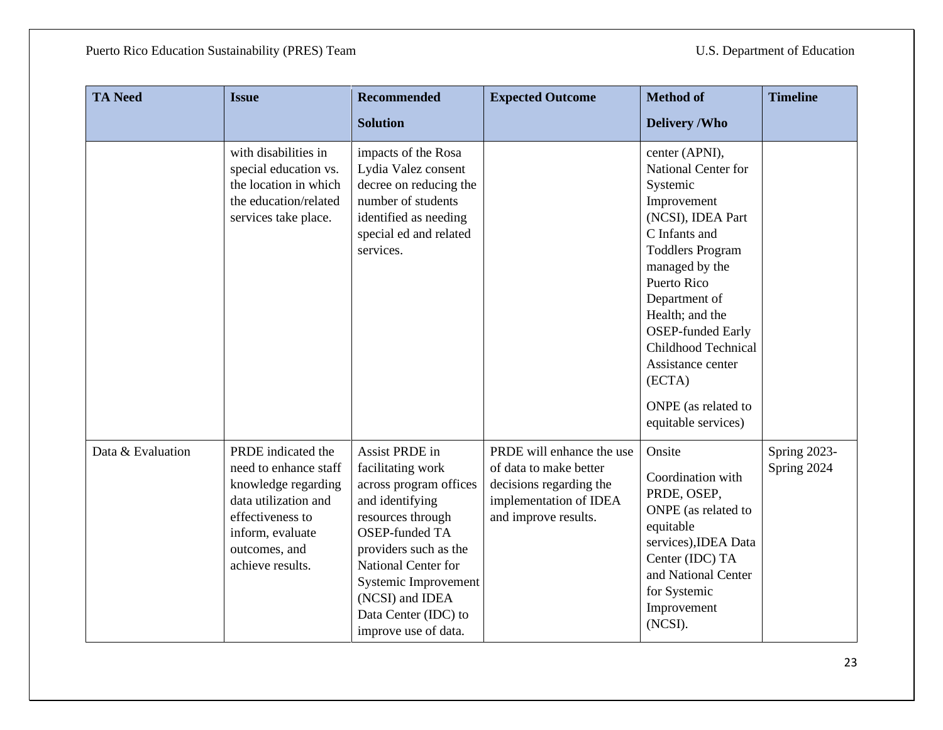| <b>TA Need</b>    | <b>Issue</b>                                                                                                                                                            | <b>Recommended</b>                                                                                                                                                                                                                                                        | <b>Expected Outcome</b>                                                                                                          | <b>Method of</b>                                                                                                                                                                                                                                                                                                                       | <b>Timeline</b>             |
|-------------------|-------------------------------------------------------------------------------------------------------------------------------------------------------------------------|---------------------------------------------------------------------------------------------------------------------------------------------------------------------------------------------------------------------------------------------------------------------------|----------------------------------------------------------------------------------------------------------------------------------|----------------------------------------------------------------------------------------------------------------------------------------------------------------------------------------------------------------------------------------------------------------------------------------------------------------------------------------|-----------------------------|
|                   |                                                                                                                                                                         | <b>Solution</b>                                                                                                                                                                                                                                                           |                                                                                                                                  | <b>Delivery /Who</b>                                                                                                                                                                                                                                                                                                                   |                             |
|                   | with disabilities in<br>special education vs.<br>the location in which<br>the education/related<br>services take place.                                                 | impacts of the Rosa<br>Lydia Valez consent<br>decree on reducing the<br>number of students<br>identified as needing<br>special ed and related<br>services.                                                                                                                |                                                                                                                                  | center (APNI),<br>National Center for<br>Systemic<br>Improvement<br>(NCSI), IDEA Part<br>C Infants and<br><b>Toddlers Program</b><br>managed by the<br>Puerto Rico<br>Department of<br>Health; and the<br><b>OSEP-funded Early</b><br>Childhood Technical<br>Assistance center<br>(ECTA)<br>ONPE (as related to<br>equitable services) |                             |
| Data & Evaluation | PRDE indicated the<br>need to enhance staff<br>knowledge regarding<br>data utilization and<br>effectiveness to<br>inform, evaluate<br>outcomes, and<br>achieve results. | Assist PRDE in<br>facilitating work<br>across program offices<br>and identifying<br>resources through<br><b>OSEP-funded TA</b><br>providers such as the<br>National Center for<br>Systemic Improvement<br>(NCSI) and IDEA<br>Data Center (IDC) to<br>improve use of data. | PRDE will enhance the use<br>of data to make better<br>decisions regarding the<br>implementation of IDEA<br>and improve results. | Onsite<br>Coordination with<br>PRDE, OSEP,<br>ONPE (as related to<br>equitable<br>services), IDEA Data<br>Center (IDC) TA<br>and National Center<br>for Systemic<br>Improvement<br>(NCSI).                                                                                                                                             | Spring 2023-<br>Spring 2024 |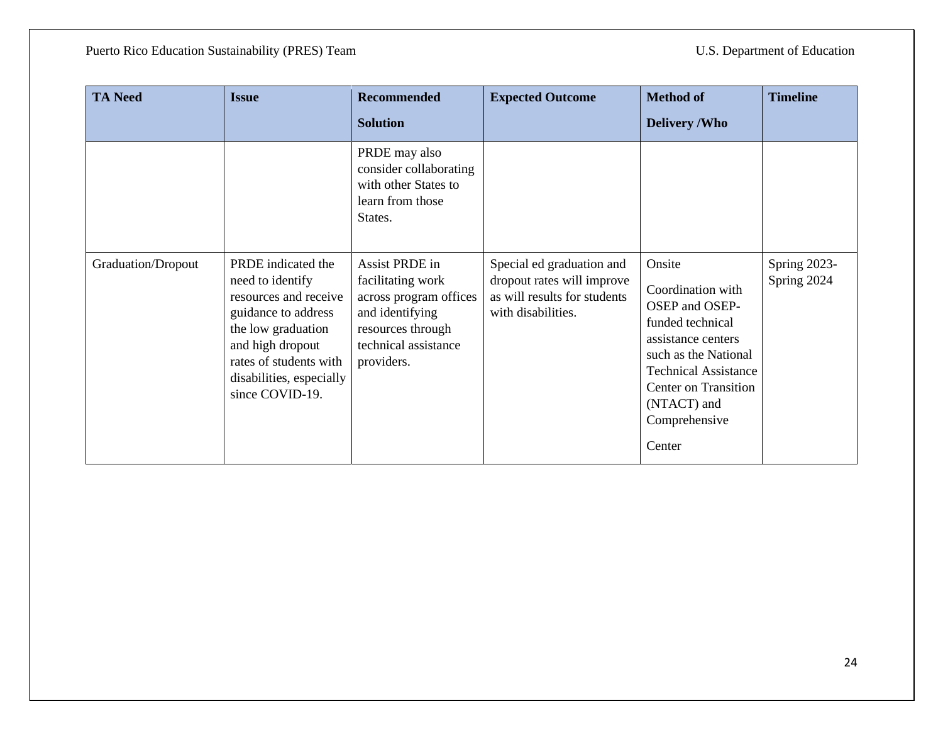| <b>TA Need</b>     | <b>Issue</b>                                                                                                                                                                                              | <b>Recommended</b><br><b>Solution</b>                                                                                                       | <b>Expected Outcome</b>                                                                                       | <b>Method of</b><br><b>Delivery /Who</b>                                                                                                                                                                         | <b>Timeline</b>             |
|--------------------|-----------------------------------------------------------------------------------------------------------------------------------------------------------------------------------------------------------|---------------------------------------------------------------------------------------------------------------------------------------------|---------------------------------------------------------------------------------------------------------------|------------------------------------------------------------------------------------------------------------------------------------------------------------------------------------------------------------------|-----------------------------|
|                    |                                                                                                                                                                                                           | PRDE may also<br>consider collaborating<br>with other States to<br>learn from those<br>States.                                              |                                                                                                               |                                                                                                                                                                                                                  |                             |
| Graduation/Dropout | PRDE indicated the<br>need to identify<br>resources and receive<br>guidance to address<br>the low graduation<br>and high dropout<br>rates of students with<br>disabilities, especially<br>since COVID-19. | Assist PRDE in<br>facilitating work<br>across program offices<br>and identifying<br>resources through<br>technical assistance<br>providers. | Special ed graduation and<br>dropout rates will improve<br>as will results for students<br>with disabilities. | Onsite<br>Coordination with<br>OSEP and OSEP-<br>funded technical<br>assistance centers<br>such as the National<br><b>Technical Assistance</b><br>Center on Transition<br>(NTACT) and<br>Comprehensive<br>Center | Spring 2023-<br>Spring 2024 |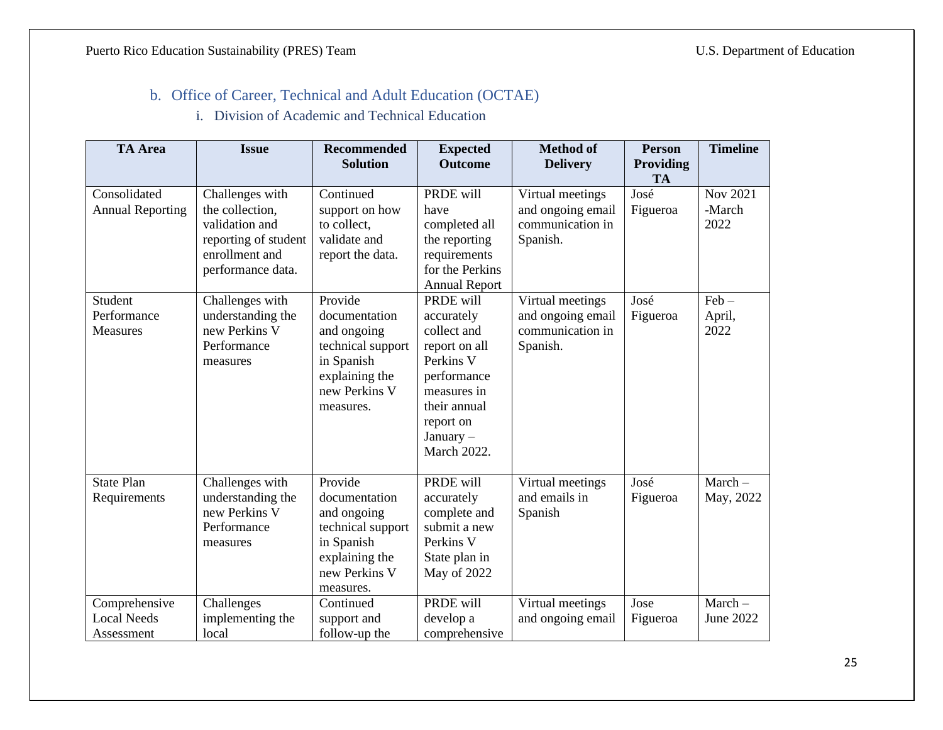### b. Office of Career, Technical and Adult Education (OCTAE)

i. Division of Academic and Technical Education

<span id="page-24-1"></span><span id="page-24-0"></span>

| <b>TA</b> Area                                    | <b>Issue</b>                                                                                                        | <b>Recommended</b>                                                                                                         | <b>Expected</b>                                                                                                                                                    | <b>Method of</b>                                                      | <b>Person</b>                 | <b>Timeline</b>                   |
|---------------------------------------------------|---------------------------------------------------------------------------------------------------------------------|----------------------------------------------------------------------------------------------------------------------------|--------------------------------------------------------------------------------------------------------------------------------------------------------------------|-----------------------------------------------------------------------|-------------------------------|-----------------------------------|
|                                                   |                                                                                                                     | <b>Solution</b>                                                                                                            | <b>Outcome</b>                                                                                                                                                     | <b>Delivery</b>                                                       | <b>Providing</b>              |                                   |
| Consolidated<br><b>Annual Reporting</b>           | Challenges with<br>the collection,<br>validation and<br>reporting of student<br>enrollment and<br>performance data. | Continued<br>support on how<br>to collect,<br>validate and<br>report the data.                                             | PRDE will<br>have<br>completed all<br>the reporting<br>requirements<br>for the Perkins<br><b>Annual Report</b>                                                     | Virtual meetings<br>and ongoing email<br>communication in<br>Spanish. | <b>TA</b><br>José<br>Figueroa | <b>Nov 2021</b><br>-March<br>2022 |
| Student<br>Performance<br><b>Measures</b>         | Challenges with<br>understanding the<br>new Perkins V<br>Performance<br>measures                                    | Provide<br>documentation<br>and ongoing<br>technical support<br>in Spanish<br>explaining the<br>new Perkins V<br>measures. | PRDE will<br>accurately<br>collect and<br>report on all<br>Perkins V<br>performance<br>measures in<br>their annual<br>report on<br>January -<br><b>March 2022.</b> | Virtual meetings<br>and ongoing email<br>communication in<br>Spanish. | José<br>Figueroa              | $Feb -$<br>April,<br>2022         |
| <b>State Plan</b><br>Requirements                 | Challenges with<br>understanding the<br>new Perkins V<br>Performance<br>measures                                    | Provide<br>documentation<br>and ongoing<br>technical support<br>in Spanish<br>explaining the<br>new Perkins V<br>measures. | PRDE will<br>accurately<br>complete and<br>submit a new<br>Perkins V<br>State plan in<br>May of 2022                                                               | Virtual meetings<br>and emails in<br>Spanish                          | José<br>Figueroa              | $March-$<br>May, 2022             |
| Comprehensive<br><b>Local Needs</b><br>Assessment | Challenges<br>implementing the<br>local                                                                             | Continued<br>support and<br>follow-up the                                                                                  | PRDE will<br>develop a<br>comprehensive                                                                                                                            | Virtual meetings<br>and ongoing email                                 | Jose<br>Figueroa              | $March-$<br>June 2022             |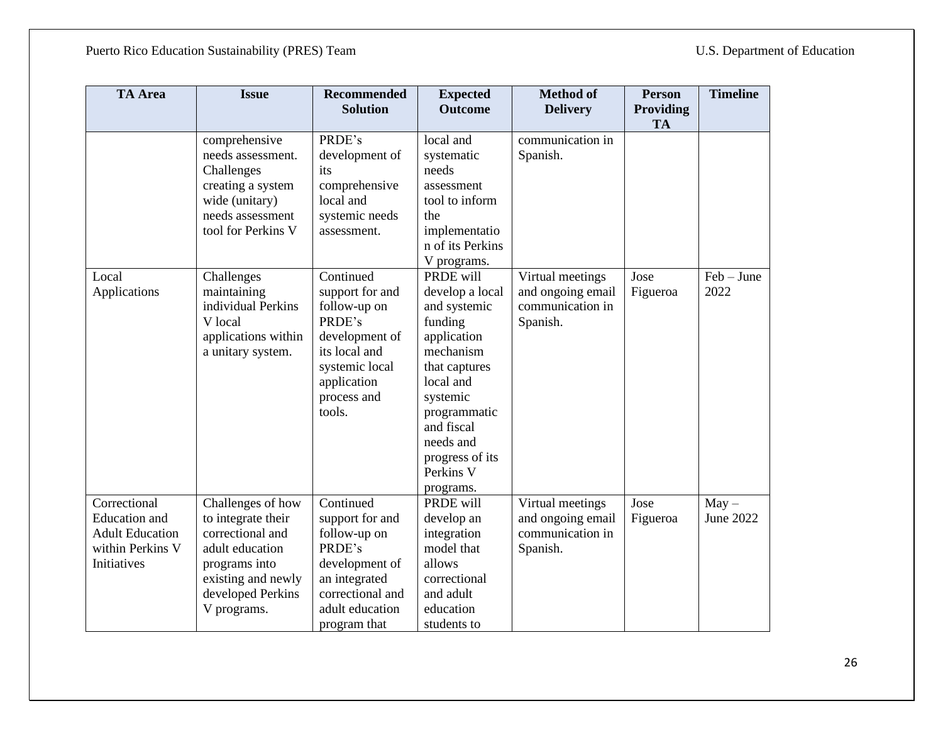| <b>TA</b> Area                                                                             | <b>Issue</b>                                                                                                                                              | <b>Recommended</b><br><b>Solution</b>                                                                                                               | <b>Expected</b><br><b>Outcome</b>                                                                                                                                                                                                | <b>Method of</b><br><b>Delivery</b>                                   | <b>Person</b><br>Providing<br><b>TA</b> | <b>Timeline</b>      |
|--------------------------------------------------------------------------------------------|-----------------------------------------------------------------------------------------------------------------------------------------------------------|-----------------------------------------------------------------------------------------------------------------------------------------------------|----------------------------------------------------------------------------------------------------------------------------------------------------------------------------------------------------------------------------------|-----------------------------------------------------------------------|-----------------------------------------|----------------------|
|                                                                                            | comprehensive<br>needs assessment.<br>Challenges<br>creating a system<br>wide (unitary)<br>needs assessment<br>tool for Perkins V                         | PRDE's<br>development of<br>its<br>comprehensive<br>local and<br>systemic needs<br>assessment.                                                      | local and<br>systematic<br>needs<br>assessment<br>tool to inform<br>the<br>implementatio<br>n of its Perkins<br>V programs.                                                                                                      | communication in<br>Spanish.                                          |                                         |                      |
| Local<br>Applications                                                                      | Challenges<br>maintaining<br>individual Perkins<br>V local<br>applications within<br>a unitary system.                                                    | Continued<br>support for and<br>follow-up on<br>PRDE's<br>development of<br>its local and<br>systemic local<br>application<br>process and<br>tools. | PRDE will<br>develop a local<br>and systemic<br>funding<br>application<br>mechanism<br>that captures<br>local and<br>systemic<br>programmatic<br>and fiscal<br>needs and<br>progress of its<br>Perkins <sub>V</sub><br>programs. | Virtual meetings<br>and ongoing email<br>communication in<br>Spanish. | Jose<br>Figueroa                        | $Feb - June$<br>2022 |
| Correctional<br>Education and<br><b>Adult Education</b><br>within Perkins V<br>Initiatives | Challenges of how<br>to integrate their<br>correctional and<br>adult education<br>programs into<br>existing and newly<br>developed Perkins<br>V programs. | Continued<br>support for and<br>follow-up on<br>PRDE's<br>development of<br>an integrated<br>correctional and<br>adult education<br>program that    | PRDE will<br>develop an<br>integration<br>model that<br>allows<br>correctional<br>and adult<br>education<br>students to                                                                                                          | Virtual meetings<br>and ongoing email<br>communication in<br>Spanish. | Jose<br>Figueroa                        | $May -$<br>June 2022 |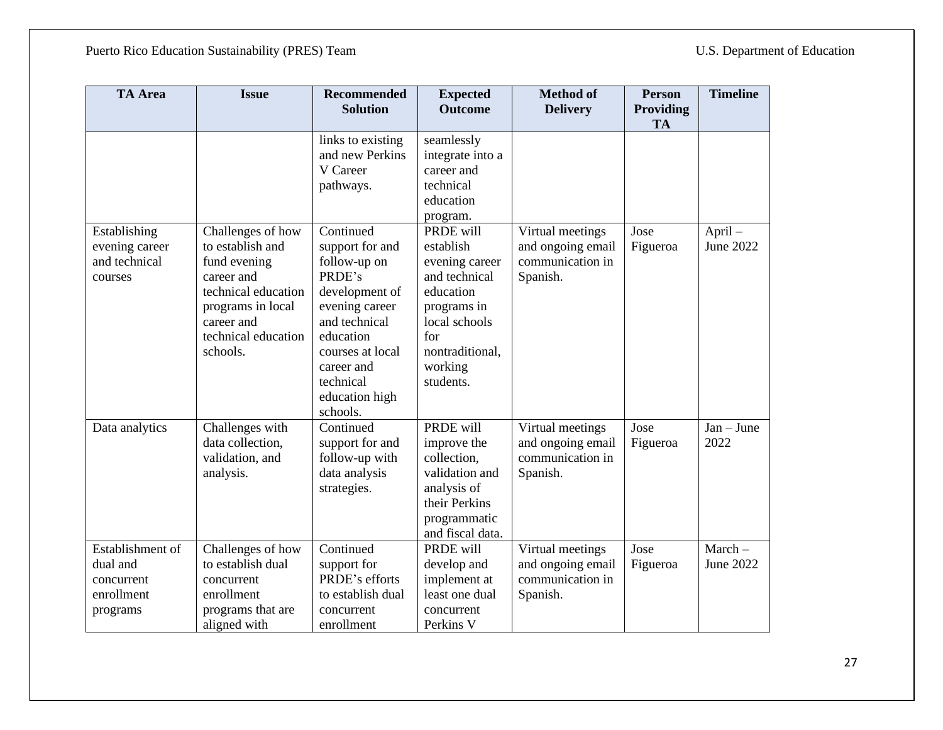| <b>TA</b> Area   | <b>Issue</b>                        | <b>Recommended</b>                   | <b>Expected</b>                | <b>Method of</b>                      | <b>Person</b> | <b>Timeline</b>      |
|------------------|-------------------------------------|--------------------------------------|--------------------------------|---------------------------------------|---------------|----------------------|
|                  |                                     | <b>Solution</b>                      | <b>Outcome</b>                 | <b>Delivery</b>                       | Providing     |                      |
|                  |                                     |                                      |                                |                                       | <b>TA</b>     |                      |
|                  |                                     | links to existing<br>and new Perkins | seamlessly                     |                                       |               |                      |
|                  |                                     | V Career                             | integrate into a<br>career and |                                       |               |                      |
|                  |                                     | pathways.                            | technical                      |                                       |               |                      |
|                  |                                     |                                      | education                      |                                       |               |                      |
|                  |                                     |                                      | program.                       |                                       |               |                      |
| Establishing     | Challenges of how                   | Continued                            | PRDE will                      | Virtual meetings                      | Jose          | April-               |
| evening career   | to establish and                    | support for and                      | establish                      | and ongoing email                     | Figueroa      | June 2022            |
| and technical    | fund evening                        | follow-up on                         | evening career                 | communication in                      |               |                      |
| courses          | career and                          | PRDE's                               | and technical                  | Spanish.                              |               |                      |
|                  | technical education                 | development of                       | education                      |                                       |               |                      |
|                  | programs in local                   | evening career                       | programs in                    |                                       |               |                      |
|                  | career and                          | and technical                        | local schools                  |                                       |               |                      |
|                  | technical education                 | education                            | for                            |                                       |               |                      |
|                  | schools.                            | courses at local                     | nontraditional,                |                                       |               |                      |
|                  |                                     | career and                           | working                        |                                       |               |                      |
|                  |                                     | technical                            | students.                      |                                       |               |                      |
|                  |                                     | education high                       |                                |                                       |               |                      |
|                  |                                     | schools.<br>Continued                | PRDE will                      |                                       | Jose          |                      |
| Data analytics   | Challenges with<br>data collection, | support for and                      | improve the                    | Virtual meetings<br>and ongoing email | Figueroa      | $Jan - June$<br>2022 |
|                  | validation, and                     | follow-up with                       | collection.                    | communication in                      |               |                      |
|                  | analysis.                           | data analysis                        | validation and                 | Spanish.                              |               |                      |
|                  |                                     | strategies.                          | analysis of                    |                                       |               |                      |
|                  |                                     |                                      | their Perkins                  |                                       |               |                      |
|                  |                                     |                                      | programmatic                   |                                       |               |                      |
|                  |                                     |                                      | and fiscal data.               |                                       |               |                      |
| Establishment of | Challenges of how                   | Continued                            | PRDE will                      | Virtual meetings                      | Jose          | $March-$             |
| dual and         | to establish dual                   | support for                          | develop and                    | and ongoing email                     | Figueroa      | June 2022            |
| concurrent       | concurrent                          | PRDE's efforts                       | implement at                   | communication in                      |               |                      |
| enrollment       | enrollment                          | to establish dual                    | least one dual                 | Spanish.                              |               |                      |
| programs         | programs that are                   | concurrent                           | concurrent                     |                                       |               |                      |
|                  | aligned with                        | enrollment                           | Perkins V                      |                                       |               |                      |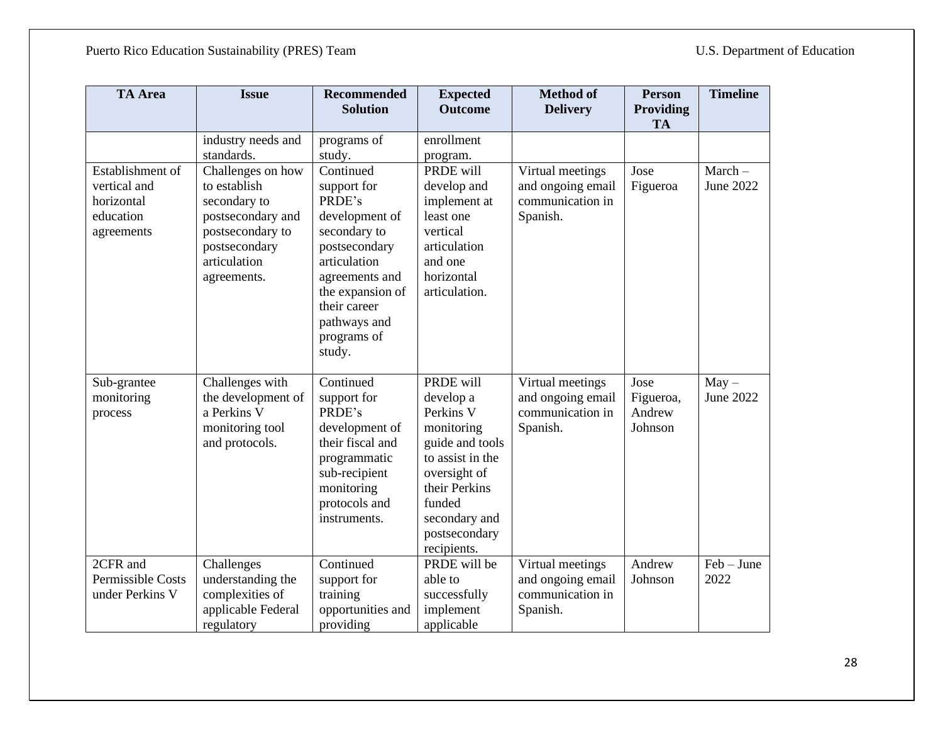| <b>TA</b> Area                                                            | <b>Issue</b>                                                                                                                               | <b>Recommended</b><br><b>Solution</b>                                                                                                                                                                | <b>Expected</b><br><b>Outcome</b>                                                                                                                                                    | <b>Method of</b><br><b>Delivery</b>                                   | <b>Person</b><br>Providing<br><b>TA</b> | <b>Timeline</b>       |
|---------------------------------------------------------------------------|--------------------------------------------------------------------------------------------------------------------------------------------|------------------------------------------------------------------------------------------------------------------------------------------------------------------------------------------------------|--------------------------------------------------------------------------------------------------------------------------------------------------------------------------------------|-----------------------------------------------------------------------|-----------------------------------------|-----------------------|
|                                                                           | industry needs and<br>standards.                                                                                                           | programs of<br>study.                                                                                                                                                                                | enrollment<br>program.                                                                                                                                                               |                                                                       |                                         |                       |
| Establishment of<br>vertical and<br>horizontal<br>education<br>agreements | Challenges on how<br>to establish<br>secondary to<br>postsecondary and<br>postsecondary to<br>postsecondary<br>articulation<br>agreements. | Continued<br>support for<br>PRDE's<br>development of<br>secondary to<br>postsecondary<br>articulation<br>agreements and<br>the expansion of<br>their career<br>pathways and<br>programs of<br>study. | PRDE will<br>develop and<br>implement at<br>least one<br>vertical<br>articulation<br>and one<br>horizontal<br>articulation.                                                          | Virtual meetings<br>and ongoing email<br>communication in<br>Spanish. | Jose<br>Figueroa                        | $March-$<br>June 2022 |
| Sub-grantee<br>monitoring<br>process                                      | Challenges with<br>the development of<br>a Perkins V<br>monitoring tool<br>and protocols.                                                  | Continued<br>support for<br>PRDE's<br>development of<br>their fiscal and<br>programmatic<br>sub-recipient<br>monitoring<br>protocols and<br>instruments.                                             | PRDE will<br>develop a<br>Perkins V<br>monitoring<br>guide and tools<br>to assist in the<br>oversight of<br>their Perkins<br>funded<br>secondary and<br>postsecondary<br>recipients. | Virtual meetings<br>and ongoing email<br>communication in<br>Spanish. | Jose<br>Figueroa,<br>Andrew<br>Johnson  | $May -$<br>June 2022  |
| 2CFR and<br>Permissible Costs<br>under Perkins V                          | Challenges<br>understanding the<br>complexities of<br>applicable Federal<br>regulatory                                                     | Continued<br>support for<br>training<br>opportunities and<br>providing                                                                                                                               | PRDE will be<br>able to<br>successfully<br>implement<br>applicable                                                                                                                   | Virtual meetings<br>and ongoing email<br>communication in<br>Spanish. | Andrew<br>Johnson                       | $Feb - June$<br>2022  |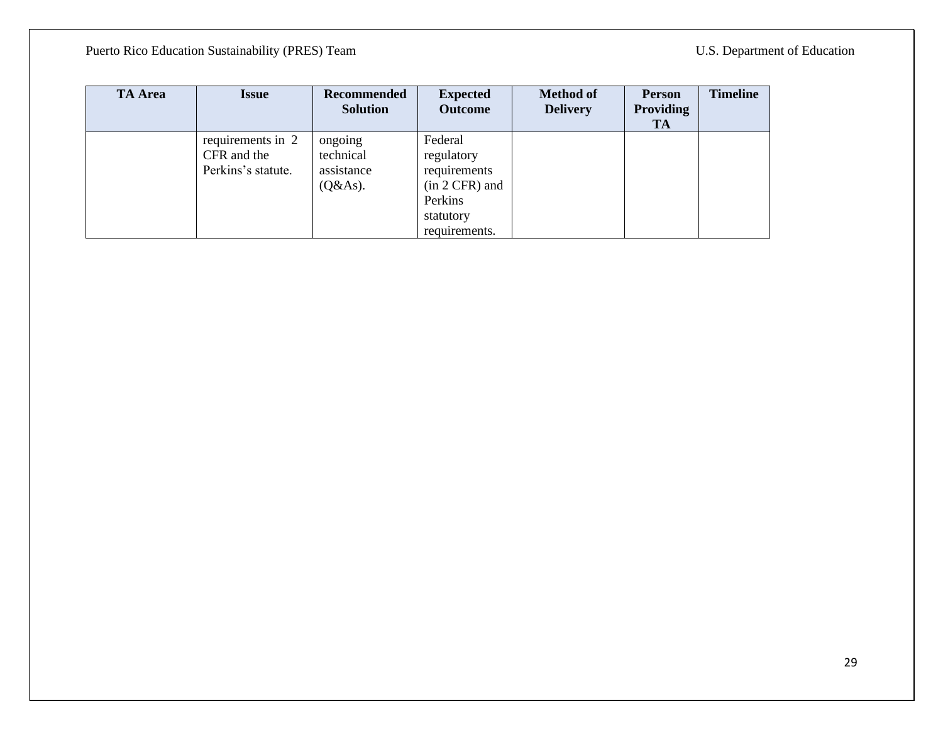| <b>TA Area</b> | Issue                                                  | Recommended<br><b>Solution</b>                 | <b>Expected</b><br><b>Outcome</b>                                                                  | <b>Method of</b><br><b>Delivery</b> | <b>Person</b><br>Providing<br><b>TA</b> | <b>Timeline</b> |
|----------------|--------------------------------------------------------|------------------------------------------------|----------------------------------------------------------------------------------------------------|-------------------------------------|-----------------------------------------|-----------------|
|                | requirements in 2<br>CFR and the<br>Perkins's statute. | ongoing<br>technical<br>assistance<br>(Q& As). | Federal<br>regulatory<br>requirements<br>$(in 2 CFR)$ and<br>Perkins<br>statutory<br>requirements. |                                     |                                         |                 |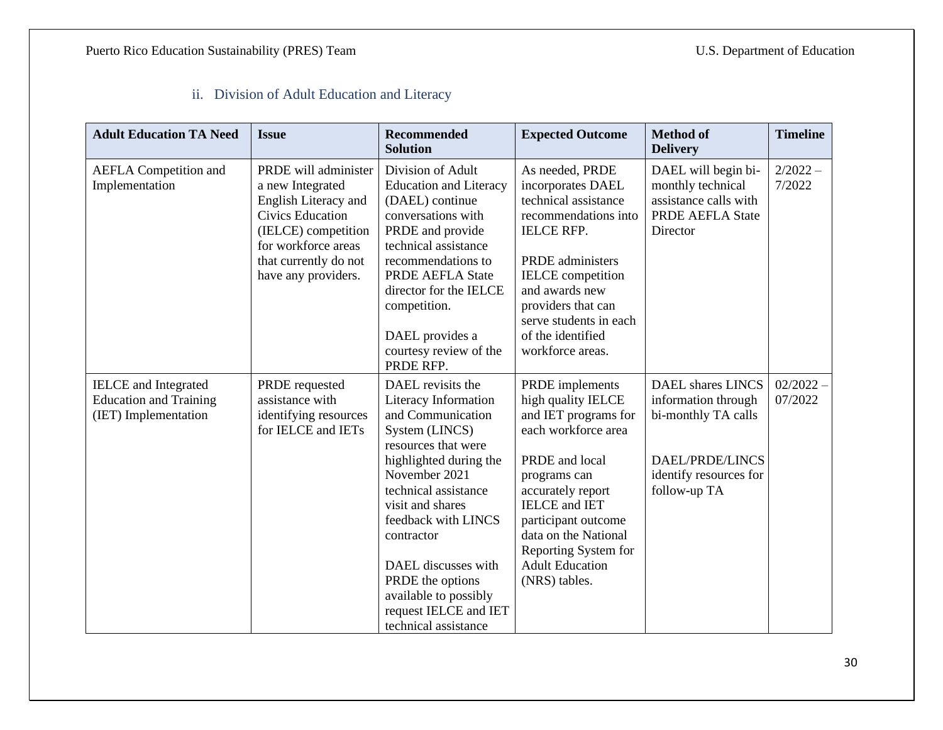### ii. Division of Adult Education and Literacy

<span id="page-29-0"></span>

| <b>Adult Education TA Need</b>                                                       | <b>Issue</b>                                                                                                                                                                              | <b>Recommended</b><br><b>Solution</b>                                                                                                                                                                                                                                                                                                                    | <b>Expected Outcome</b>                                                                                                                                                                                                                                                                      | <b>Method of</b><br><b>Delivery</b>                                                                                                 | <b>Timeline</b>        |
|--------------------------------------------------------------------------------------|-------------------------------------------------------------------------------------------------------------------------------------------------------------------------------------------|----------------------------------------------------------------------------------------------------------------------------------------------------------------------------------------------------------------------------------------------------------------------------------------------------------------------------------------------------------|----------------------------------------------------------------------------------------------------------------------------------------------------------------------------------------------------------------------------------------------------------------------------------------------|-------------------------------------------------------------------------------------------------------------------------------------|------------------------|
| <b>AEFLA</b> Competition and<br>Implementation                                       | PRDE will administer<br>a new Integrated<br>English Literacy and<br><b>Civics Education</b><br>(IELCE) competition<br>for workforce areas<br>that currently do not<br>have any providers. | Division of Adult<br><b>Education and Literacy</b><br>(DAEL) continue<br>conversations with<br>PRDE and provide<br>technical assistance<br>recommendations to<br>PRDE AEFLA State<br>director for the IELCE<br>competition.<br>DAEL provides a<br>courtesy review of the<br>PRDE RFP.                                                                    | As needed, PRDE<br>incorporates DAEL<br>technical assistance<br>recommendations into<br><b>IELCE RFP.</b><br><b>PRDE</b> administers<br><b>IELCE</b> competition<br>and awards new<br>providers that can<br>serve students in each<br>of the identified<br>workforce areas.                  | DAEL will begin bi-<br>monthly technical<br>assistance calls with<br>PRDE AEFLA State<br>Director                                   | $2/2022 -$<br>7/2022   |
| <b>IELCE</b> and Integrated<br><b>Education and Training</b><br>(IET) Implementation | PRDE requested<br>assistance with<br>identifying resources<br>for IELCE and IETs                                                                                                          | DAEL revisits the<br>Literacy Information<br>and Communication<br>System (LINCS)<br>resources that were<br>highlighted during the<br>November 2021<br>technical assistance<br>visit and shares<br>feedback with LINCS<br>contractor<br>DAEL discusses with<br>PRDE the options<br>available to possibly<br>request IELCE and IET<br>technical assistance | PRDE implements<br>high quality IELCE<br>and IET programs for<br>each workforce area<br>PRDE and local<br>programs can<br>accurately report<br><b>IELCE</b> and <b>IET</b><br>participant outcome<br>data on the National<br>Reporting System for<br><b>Adult Education</b><br>(NRS) tables. | <b>DAEL</b> shares LINCS<br>information through<br>bi-monthly TA calls<br>DAEL/PRDE/LINCS<br>identify resources for<br>follow-up TA | $02/2022 -$<br>07/2022 |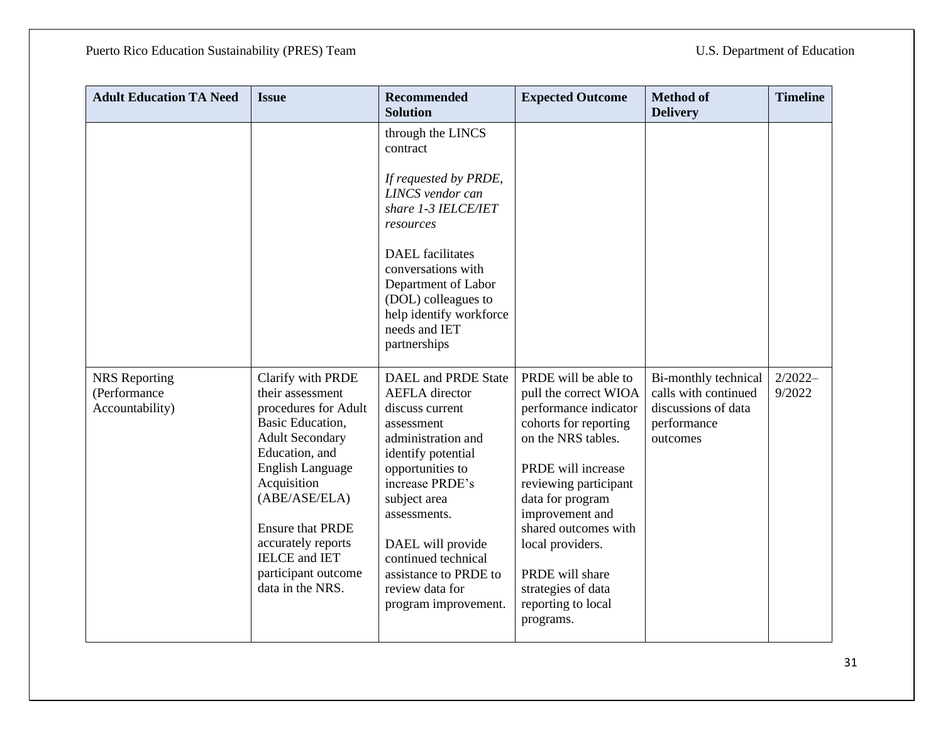| <b>Adult Education TA Need</b>                          | <b>Issue</b>                                                                                                                                                                                                                                                                                                        | <b>Recommended</b><br><b>Solution</b>                                                                                                                                                                                                                                                                            | <b>Expected Outcome</b>                                                                                                                                                                                                                                                                                                             | <b>Method of</b><br><b>Delivery</b>                                                            | <b>Timeline</b>     |
|---------------------------------------------------------|---------------------------------------------------------------------------------------------------------------------------------------------------------------------------------------------------------------------------------------------------------------------------------------------------------------------|------------------------------------------------------------------------------------------------------------------------------------------------------------------------------------------------------------------------------------------------------------------------------------------------------------------|-------------------------------------------------------------------------------------------------------------------------------------------------------------------------------------------------------------------------------------------------------------------------------------------------------------------------------------|------------------------------------------------------------------------------------------------|---------------------|
|                                                         |                                                                                                                                                                                                                                                                                                                     | through the LINCS<br>contract                                                                                                                                                                                                                                                                                    |                                                                                                                                                                                                                                                                                                                                     |                                                                                                |                     |
|                                                         |                                                                                                                                                                                                                                                                                                                     | If requested by PRDE,<br>LINCS vendor can<br>share 1-3 IELCE/IET<br>resources                                                                                                                                                                                                                                    |                                                                                                                                                                                                                                                                                                                                     |                                                                                                |                     |
|                                                         |                                                                                                                                                                                                                                                                                                                     | <b>DAEL</b> facilitates<br>conversations with<br>Department of Labor<br>(DOL) colleagues to<br>help identify workforce<br>needs and IET<br>partnerships                                                                                                                                                          |                                                                                                                                                                                                                                                                                                                                     |                                                                                                |                     |
| <b>NRS</b> Reporting<br>(Performance<br>Accountability) | Clarify with PRDE<br>their assessment<br>procedures for Adult<br>Basic Education,<br><b>Adult Secondary</b><br>Education, and<br><b>English Language</b><br>Acquisition<br>(ABE/ASE/ELA)<br><b>Ensure that PRDE</b><br>accurately reports<br><b>IELCE</b> and <b>IET</b><br>participant outcome<br>data in the NRS. | DAEL and PRDE State<br><b>AEFLA</b> director<br>discuss current<br>assessment<br>administration and<br>identify potential<br>opportunities to<br>increase PRDE's<br>subject area<br>assessments.<br>DAEL will provide<br>continued technical<br>assistance to PRDE to<br>review data for<br>program improvement. | PRDE will be able to<br>pull the correct WIOA<br>performance indicator<br>cohorts for reporting<br>on the NRS tables.<br>PRDE will increase<br>reviewing participant<br>data for program<br>improvement and<br>shared outcomes with<br>local providers.<br>PRDE will share<br>strategies of data<br>reporting to local<br>programs. | Bi-monthly technical<br>calls with continued<br>discussions of data<br>performance<br>outcomes | $2/2022-$<br>9/2022 |